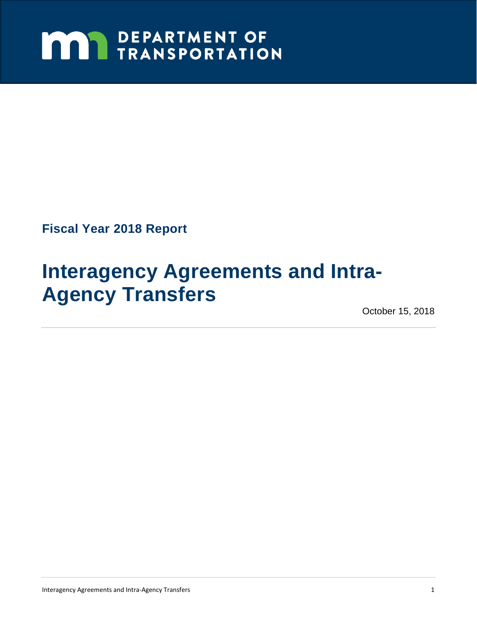# **MAY DEPARTMENT OF TRANSPORTATION**

**Fiscal Year 2018 Report** 

## **Interagency Agreements and Intra-Agency Transfers**

October 15, 2018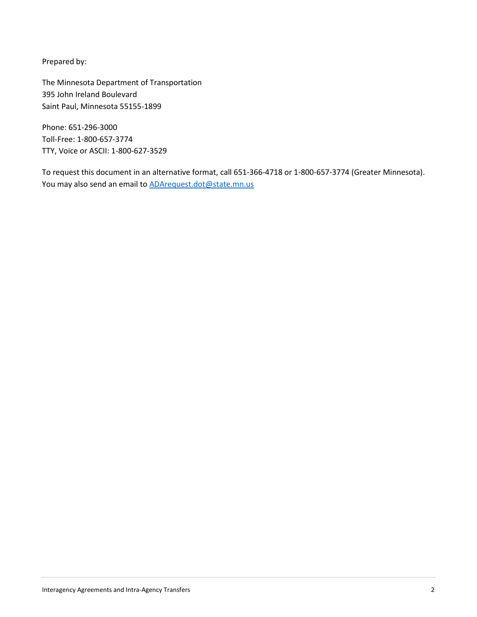Prepared by:

The Minnesota Department of Transportation 395 John Ireland Boulevard Saint Paul, Minnesota 55155-1899

 TTY, Voice or ASCII: 1-800-627-3529 Phone: 651-296-3000 Toll-Free: 1-800-657-3774

To request this document in an alternative format, call 651-366-4718 or 1-800-657-3774 (Greater Minnesota). You may also send an email to ADArequest.dot@state.mn.us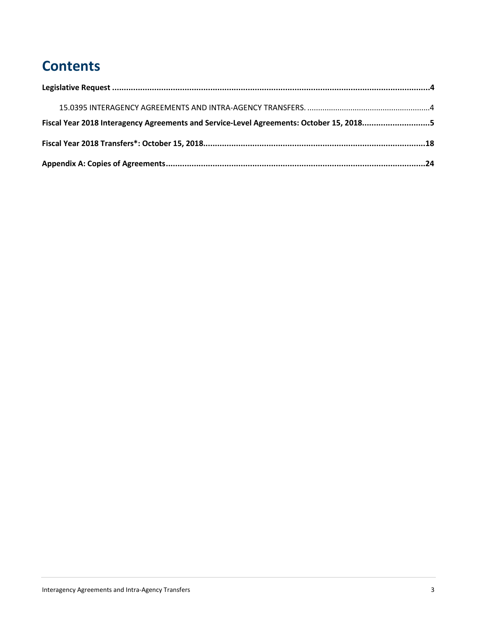## **Contents**

| Fiscal Year 2018 Interagency Agreements and Service-Level Agreements: October 15, 20185 |  |
|-----------------------------------------------------------------------------------------|--|
|                                                                                         |  |
|                                                                                         |  |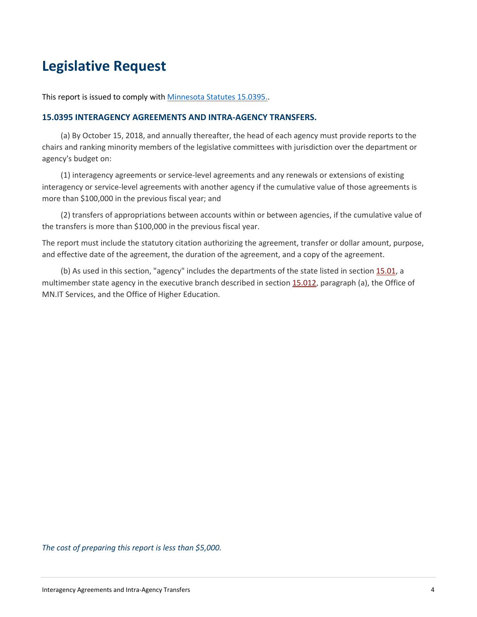### **Legislative Request**

This report is issued to comply with **Minnesota Statutes 15.0395.**.

### **15.0395 INTERAGENCY AGREEMENTS AND INTRA-AGENCY TRANSFERS.**

 (a) By October 15, 2018, and annually thereafter, the head of each agency must provide reports to the chairs and ranking minority members of the legislative committees with jurisdiction over the department or agency's budget on:

 (1) interagency agreements or service-level agreements and any renewals or extensions of existing interagency or service-level agreements with another agency if the cumulative value of those agreements is more than \$100,000 in the previous fiscal year; and

 (2) transfers of appropriations between accounts within or between agencies, if the cumulative value of the transfers is more than \$100,000 in the previous fiscal year.

 The report must include the statutory citation authorizing the agreement, transfer or dollar amount, purpose, and effective date of the agreement, the duration of the agreement, and a copy of the agreement.

(b) As used in this section, "agency" includes the departments of the state listed in section 15.01, a multimember state agency in the executive branch described in section 15.012, paragraph (a), the Office of MN.IT Services, and the Office of Higher Education.

*The cost of preparing this report is less than \$5,000.*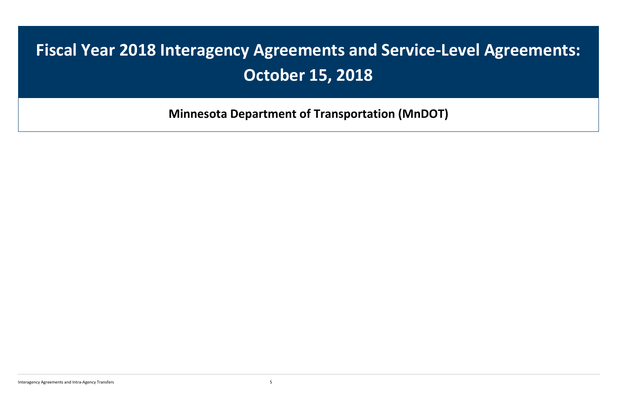## **Fiscal Year 2018 Interagency Agreements and Service-Level Agreements: October 15, 2018**

**Minnesota Department of Transportation (MnDOT)**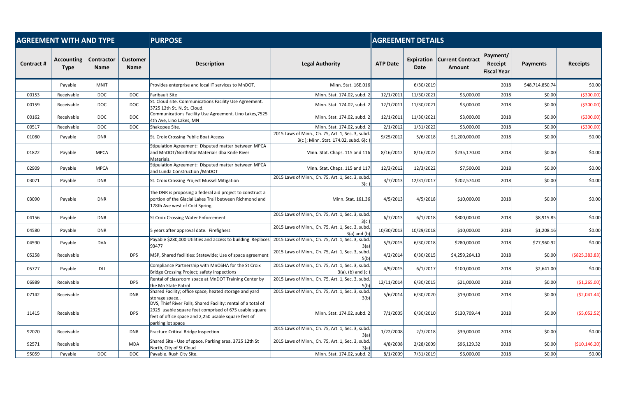| <b>AGREEMENT WITH AND TYPE</b> |                                  |                           |                                | <b>PURPOSE</b><br><b>AGREEMENT DETAILS</b>                                                                                                                                                           |                                                                                           |                 |                    |                                          |                                           |                 |                  |  |
|--------------------------------|----------------------------------|---------------------------|--------------------------------|------------------------------------------------------------------------------------------------------------------------------------------------------------------------------------------------------|-------------------------------------------------------------------------------------------|-----------------|--------------------|------------------------------------------|-------------------------------------------|-----------------|------------------|--|
| Contract #                     | <b>Accounting</b><br><b>Type</b> | Contractor<br><b>Name</b> | <b>Customer</b><br><b>Name</b> | <b>Description</b>                                                                                                                                                                                   | <b>Legal Authority</b>                                                                    | <b>ATP Date</b> | Expiration<br>Date | <b>Current Contract</b><br><b>Amount</b> | Payment/<br>Receipt<br><b>Fiscal Year</b> | <b>Payments</b> | <b>Receipts</b>  |  |
|                                | Payable                          | MNIT                      |                                | Provides enterprise and local IT services to MnDOT.                                                                                                                                                  | Minn. Stat. 16E.016                                                                       |                 | 6/30/2019          |                                          | 2018                                      | \$48,714,850.74 | \$0.00           |  |
| 00153                          | Receivable                       | <b>DOC</b>                | <b>DOC</b>                     | Faribault Site                                                                                                                                                                                       | Minn. Stat. 174.02, subd. 2                                                               | 12/1/2011       | 11/30/2021         | \$3,000.00                               | 2018                                      | \$0.00          | ( \$300.00]      |  |
| 00159                          | Receivable                       | <b>DOC</b>                | <b>DOC</b>                     | St. Cloud site. Communications Facility Use Agreement.<br>3725 12th St. N, St. Cloud.                                                                                                                | Minn. Stat. 174.02, subd. 2                                                               | 12/1/2011       | 11/30/2021         | \$3,000.00                               | 2018                                      | \$0.00          | ( \$300.00]      |  |
| 00162                          | Receivable                       | <b>DOC</b>                | <b>DOC</b>                     | Communications Facility Use Agreement. Lino Lakes, 7525<br>4th Ave, Lino Lakes, MN                                                                                                                   | Minn. Stat. 174.02, subd. 2                                                               | 12/1/2011       | 11/30/2021         | \$3,000.00                               | 2018                                      | \$0.00          | ( \$300.00]      |  |
| 00517                          | Receivable                       | <b>DOC</b>                | <b>DOC</b>                     | Shakopee Site.                                                                                                                                                                                       | Minn. Stat. 174.02, subd. 2                                                               | 2/1/2012        | 1/31/2022          | \$3,000.00                               | 2018                                      | \$0.00          | ( \$300.00]      |  |
| 01080                          | Payable                          | <b>DNR</b>                |                                | St. Croix Crossing Public Boat Access                                                                                                                                                                | 2015 Laws of Minn., Ch. 75, Art. 1, Sec. 3, subd.<br>3(c); Minn. Stat. 174.02, subd. 6(c) | 9/25/2012       | 5/6/2018           | \$1,200,000.00                           | 2018                                      | \$0.00          | \$0.00           |  |
| 01822                          | Payable                          | <b>MPCA</b>               |                                | Stipulation Agreement: Disputed matter between MPCA<br>and MnDOT/NorthStar Materials dba Knife River<br>Materials.                                                                                   | Minn. Stat. Chaps. 115 and 116                                                            | 8/16/2012       | 8/16/2022          | \$235,170.00                             | 2018                                      | \$0.00          | \$0.00           |  |
| 02909                          | Payable                          | <b>MPCA</b>               |                                | Stipulation Agreement: Disputed matter between MPCA<br>and Lunda Construction / MnDOT                                                                                                                | Minn. Stat. Chaps. 115 and 117                                                            | 12/3/2012       | 12/3/2022          | \$7,500.00                               | 2018                                      | \$0.00          | \$0.00           |  |
| 03071                          | Payable                          | <b>DNR</b>                |                                | St. Croix Crossing Project Mussel Mitigation                                                                                                                                                         | 2015 Laws of Minn., Ch. 75, Art. 1, Sec. 3, subd.<br>3(c)                                 | 3/7/2013        | 12/31/2017         | \$202,574.00                             | 2018                                      | \$0.00          | \$0.00           |  |
| 03090                          | Payable                          | <b>DNR</b>                |                                | The DNR is proposing a federal aid project to construct a<br>portion of the Glacial Lakes Trail between Richmond and<br>178th Ave west of Cold Spring.                                               | Minn. Stat. 161.36                                                                        | 4/5/2013        | 4/5/2018           | \$10,000.00                              | 2018                                      | \$0.00          | \$0.00           |  |
| 04156                          | Payable                          | <b>DNR</b>                |                                | St Croix Crossing Water Enforcement                                                                                                                                                                  | 2015 Laws of Minn., Ch. 75, Art. 1, Sec. 3, subd.<br>3(c)                                 | 6/7/2013        | 6/1/2018           | \$800,000.00                             | 2018                                      | \$8,915.85      | \$0.00           |  |
| 04580                          | Payable                          | <b>DNR</b>                |                                | 5 years after approval date. Firefighers                                                                                                                                                             | 2015 Laws of Minn., Ch. 75, Art. 1, Sec. 3, subd<br>$3(a)$ and $(b)$                      | 10/30/2013      | 10/29/2018         | \$10,000.00                              | 2018                                      | \$1,208.16      | \$0.00           |  |
| 04590                          | Payable                          | <b>DVA</b>                |                                | Payable \$280,000 Utilities and access to building Replaces<br>93477                                                                                                                                 | 2015 Laws of Minn., Ch. 75, Art. 1, Sec. 3, subd.                                         | 5/3/2015        | 6/30/2018          | \$280,000.00                             | 2018                                      | \$77,960.92     | \$0.00           |  |
| 05258                          | Receivable                       |                           | <b>DPS</b>                     | MSP, Shared facilities: Statewide; Use of space agreement                                                                                                                                            | 2015 Laws of Minn., Ch. 75, Art. 1, Sec. 3, subd.<br>5(b)                                 | 4/2/2014        | 6/30/2015          | \$4,259,264.13                           | 2018                                      | \$0.00          | ( \$825, 383.83) |  |
| 05777                          | Payable                          | DLI                       |                                | Compliance Partnership with MnOSHA for the St Croix<br>Bridge Crossing Project; safety inspections                                                                                                   | 2015 Laws of Minn., Ch. 75, Art. 1, Sec. 3, subd.<br>$3(a)$ , (b) and (c)                 | 4/9/2015        | 6/1/2017           | \$100,000.00                             | 2018                                      | \$2,641.00      | \$0.00           |  |
| 06989                          | Receivable                       |                           | <b>DPS</b>                     | Rental of classroom space at MnDOT Training Center by<br>the Mn State Patrol                                                                                                                         | 2015 Laws of Minn., Ch. 75, Art. 1, Sec. 3, subd.<br>5(b)                                 | 12/11/2014      | 6/30/2015          | \$21,000.00                              | 2018                                      | \$0.00          | (\$1,265.00)     |  |
| 07142                          | Receivable                       |                           | <b>DNR</b>                     | Shared Facility; office space, heated storage and yard<br>storage space                                                                                                                              | 2015 Laws of Minn., Ch. 75, Art. 1, Sec. 3, subd<br>3(b)                                  | 5/6/2014        | 6/30/2020          | \$19,000.00                              | 2018                                      | \$0.00          | ( \$2,041.44)    |  |
| 11415                          | Receivable                       |                           | <b>DPS</b>                     | DVS, Thief River Falls, Shared Facility: rental of a total of<br>2925 usable square feet comprised of 675 usable square<br>feet of office space and 2,250 usable square feet of<br>parking lot space | Minn. Stat. 174.02, subd. 2                                                               | 7/1/2005        | 6/30/2010          | \$130,709.44                             | 2018                                      | \$0.00          | (55,052.52)      |  |
| 92070                          | Receivable                       |                           | <b>DNR</b>                     | Fracture Critical Bridge Inspection                                                                                                                                                                  | 2015 Laws of Minn., Ch. 75, Art. 1, Sec. 3, subd.<br>3(a)                                 | 1/22/2008       | 2/7/2018           | \$39,000.00                              | 2018                                      | \$0.00          | \$0.00           |  |
| 92571                          | Receivable                       |                           | <b>MDA</b>                     | Shared Site - Use of space, Parking area. 3725 12th St<br>North, City of St Cloud                                                                                                                    | 2015 Laws of Minn., Ch. 75, Art. 1, Sec. 3, subd.<br>3(a)                                 | 4/8/2008        | 2/28/2009          | \$96,129.32                              | 2018                                      | \$0.00          | ( \$10, 146.20)  |  |
| 95059                          | Payable                          | <b>DOC</b>                | <b>DOC</b>                     | Payable. Rush City Site.                                                                                                                                                                             | Minn. Stat. 174.02, subd. 2                                                               | 8/1/2009        | 7/31/2019          | \$6,000.00]                              | 2018                                      | \$0.00          | \$0.00           |  |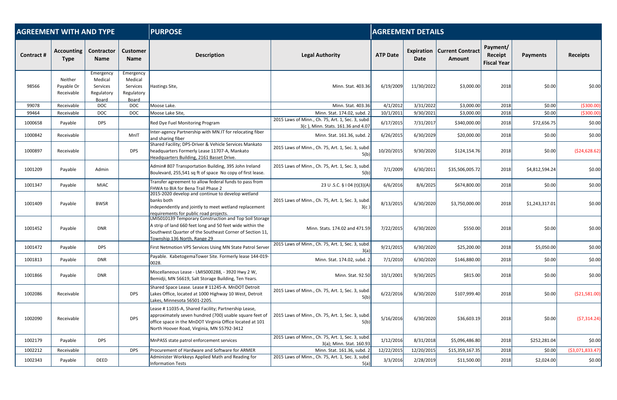| <b>AGREEMENT WITH AND TYPE</b> |                                     |                                                         |                                                         | <b>PURPOSE</b>                                                                                                                                                                                                           | <b>AGREEMENT DETAILS</b>                                                                |                 |                    |                                          |                                           |                 |                   |
|--------------------------------|-------------------------------------|---------------------------------------------------------|---------------------------------------------------------|--------------------------------------------------------------------------------------------------------------------------------------------------------------------------------------------------------------------------|-----------------------------------------------------------------------------------------|-----------------|--------------------|------------------------------------------|-------------------------------------------|-----------------|-------------------|
| Contract #                     | <b>Accounting</b><br><b>Type</b>    | <b>Contractor</b><br><b>Name</b>                        | <b>Customer</b><br><b>Name</b>                          | <b>Description</b>                                                                                                                                                                                                       | <b>Legal Authority</b>                                                                  | <b>ATP Date</b> | Expiration<br>Date | <b>Current Contract</b><br><b>Amount</b> | Payment/<br>Receipt<br><b>Fiscal Year</b> | <b>Payments</b> | <b>Receipts</b>   |
| 98566                          | Neither<br>Payable Or<br>Receivable | Emergency<br>Medical<br>Services<br>Regulatory<br>Board | Emergency<br>Medical<br>Services<br>Regulatory<br>Board | Hastings Site,                                                                                                                                                                                                           | Minn. Stat. 403.36                                                                      | 6/19/2009       | 11/30/2022         | \$3,000.00                               | 2018                                      | \$0.00          | \$0.00            |
| 99078                          | Receivable                          | <b>DOC</b>                                              | <b>DOC</b>                                              | Moose Lake.                                                                                                                                                                                                              | Minn. Stat. 403.36                                                                      | 4/1/2012        | 3/31/2022          | \$3,000.00                               | 2018                                      | \$0.00          | ( \$300.00]       |
| 99464                          | Receivable                          | <b>DOC</b>                                              | <b>DOC</b>                                              | Moose Lake Site,                                                                                                                                                                                                         | Minn. Stat. 174.02, subd. 2                                                             | 10/1/2011       | 9/30/2021          | \$3,000.00                               | 2018                                      | \$0.00          | ( \$300.00]       |
| 1000658                        | Payable                             | <b>DPS</b>                                              |                                                         | Red Dye Fuel Monitoring Program                                                                                                                                                                                          | 2015 Laws of Minn., Ch. 75, Art. 1, Sec. 3, subd.<br>3(c), Minn. Stats. 161.36 and 4.07 | 6/17/2015       | 7/31/2017          | \$340,000.00                             | 2018                                      | \$72,656.75     | \$0.00            |
| 1000842                        | Receivable                          |                                                         | MnIT                                                    | Inter-agency Partnership with MN.IT for relocating fiber<br>and sharing fiber                                                                                                                                            | Minn. Stat. 161.36, subd. 2                                                             | 6/26/2015       | 6/30/2029          | \$20,000.00                              | 2018                                      | \$0.00          | \$0.00            |
| 1000897                        | Receivable                          |                                                         | <b>DPS</b>                                              | Shared Facility; DPS-Driver & Vehicle Services Mankato<br>headquarters Formerly Lease 11707-A, Mankato<br>Headquarters Building, 2161 Basset Drive.                                                                      | 2015 Laws of Minn., Ch. 75, Art. 1, Sec. 3, subd.<br>5(b)                               | 10/20/2015      | 9/30/2020          | \$124,154.76                             | 2018                                      | \$0.00          | (524, 628.62)     |
| 1001209                        | Payable                             | Admin                                                   |                                                         | Admin# 807 Transportation Building, 395 John Ireland<br>Boulevard, 255,541 sq ft of space No copy of first lease.                                                                                                        | 2015 Laws of Minn., Ch. 75, Art. 1, Sec. 3, subd.<br>5(b)                               | 7/1/2009        | 6/30/2011          | \$35,506,005.72                          | 2018                                      | \$4,812,594.24  | \$0.00            |
| 1001347                        | Payable                             | <b>MIAC</b>                                             |                                                         | Transfer agreement to allow federal funds to pass from<br>FHWA to BIA for Bena Trail Phase 2                                                                                                                             | 23 U .S.C. § 104 (t)(3)(A)                                                              | 6/6/2016        | 8/6/2025           | \$674,800.00                             | 2018                                      | \$0.00          | \$0.00            |
| 1001409                        | Payable                             | <b>BWSR</b>                                             |                                                         | 2015-2020 develop and continue to develop wetland<br>banks both<br>independently and jointly to meet wetland replacement<br>requirements for public road projects.                                                       | 2015 Laws of Minn., Ch. 75, Art. 1, Sec. 3, subd.<br>3(c)                               | 8/13/2015       | 6/30/2020          | \$3,750,000.00                           | 2018                                      | \$1,243,317.01  | \$0.00            |
| 1001452                        | Payable                             | <b>DNR</b>                                              |                                                         | <b>LMIS010139 Temporary Construction and Top Soil Storage</b><br>A strip of land 660 feet long and 50 feet wide within the<br>Southwest Quarter of the Southeast Corner of Section 11,<br>Township 136 North, Range 29   | Minn. Stats. 174.02 and 471.59                                                          | 7/22/2015       | 6/30/2020          | \$550.00                                 | 2018                                      | \$0.00          | \$0.00            |
| 1001472                        | Payable                             | <b>DPS</b>                                              |                                                         | First Netmotion VPS Services Using MN State Patrol Server                                                                                                                                                                | 2015 Laws of Minn., Ch. 75, Art. 1, Sec. 3, subd.<br>3(a)                               | 9/21/2015       | 6/30/2020          | \$25,200.00                              | 2018                                      | \$5,050.00      | \$0.00            |
| 1001813                        | Payable                             | <b>DNR</b>                                              |                                                         | Payable. KabetogemaTower Site. Formerly lease 144-019-<br>0028.                                                                                                                                                          | Minn. Stat. 174.02, subd. 2                                                             | 7/1/2010        | 6/30/2020          | \$146,880.00                             | 2018                                      | \$0.00          | \$0.00            |
| 1001866                        | Payable                             | <b>DNR</b>                                              |                                                         | Miscellaneous Lease - LMIS000288, - 3920 Hwy 2 W,<br>Bemidji, MN 56619, Salt Storage Building, Ten Years.                                                                                                                | Minn. Stat. 92.50                                                                       | 10/1/2001       | 9/30/2025          | \$815.00                                 | 2018                                      | \$0.00          | \$0.00            |
| 1002086                        | Receivable                          |                                                         | <b>DPS</b>                                              | Shared Space Lease. Lease # 11245-A. MnDOT Detroit<br>Lakes Office, located at 1000 Highway 10 West, Detroit<br>Lakes, Minnesota 56501-2205.                                                                             | 2015 Laws of Minn., Ch. 75, Art. 1, Sec. 3, subd.<br>5(b)                               | 6/22/2016       | 6/30/2020          | \$107,999.40                             | 2018                                      | \$0.00          | ( \$21,581.00)    |
| 1002090                        | Receivable                          |                                                         | <b>DPS</b>                                              | Lease #11035-A, Shared Facility; Partnership Lease,<br>approximately seven hundred (700) usable square feet of<br>office space in the MnDOT Virginia Office located at 101<br>North Hoover Road, Virginia, MN 55792-3412 | 2015 Laws of Minn., Ch. 75, Art. 1, Sec. 3, subd.<br>5(b)                               | 5/16/2016       | 6/30/2020          | \$36,603.19                              | 2018                                      | \$0.00          | (57, 314.24)      |
| 1002179                        | Payable                             | <b>DPS</b>                                              |                                                         | MnPASS state patrol enforcement services                                                                                                                                                                                 | 2015 Laws of Minn., Ch. 75, Art. 1, Sec. 3, subd.<br>3(a); Minn. Stat. 160.93           | 1/12/2016       | 8/31/2018          | \$5,096,486.80                           | 2018                                      | \$252,281.04    | \$0.00            |
| 1002212                        | Receivable                          |                                                         | <b>DPS</b>                                              | Procurement of Hardware and Software for ARMER                                                                                                                                                                           | Minn. Stat. 161.36, subd. 2                                                             | 12/22/2015      | 12/20/2015         | \$15,359,167.35                          | 2018                                      | \$0.00          | ( \$3,071,833.47) |
| 1002343                        | Payable                             | DEED                                                    |                                                         | Administer Workkeys Applied Math and Reading for<br>Information Tests                                                                                                                                                    | 2015 Laws of Minn., Ch. 75, Art. 1, Sec. 3, subd.<br>5(a)                               | 3/3/2016        | 2/28/2019          | \$11,500.00                              | 2018                                      | \$2,024.00      | \$0.00            |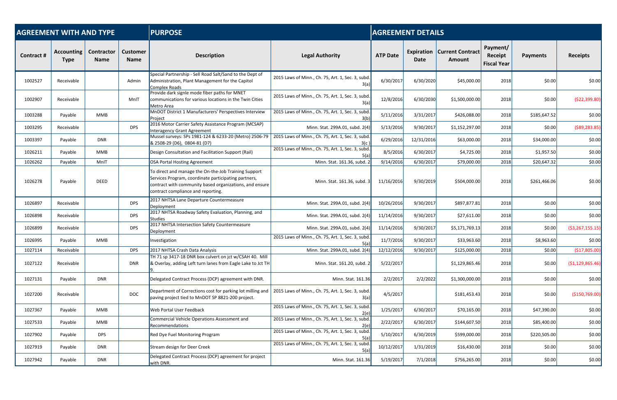| <b>AGREEMENT WITH AND TYPE</b> |                           |                           |                                | <b>PURPOSE</b>                                                                                                                                                                                                |                                                           |                 | <b>AGREEMENT DETAILS</b>  |                                   |                                           |                 |                     |  |  |
|--------------------------------|---------------------------|---------------------------|--------------------------------|---------------------------------------------------------------------------------------------------------------------------------------------------------------------------------------------------------------|-----------------------------------------------------------|-----------------|---------------------------|-----------------------------------|-------------------------------------------|-----------------|---------------------|--|--|
| Contract #                     | <b>Accounting</b><br>Type | Contractor<br><b>Name</b> | <b>Customer</b><br><b>Name</b> | <b>Description</b>                                                                                                                                                                                            | <b>Legal Authority</b>                                    | <b>ATP Date</b> | <b>Expiration</b><br>Date | <b>Current Contract</b><br>Amount | Payment/<br>Receipt<br><b>Fiscal Year</b> | <b>Payments</b> | <b>Receipts</b>     |  |  |
| 1002527                        | Receivable                |                           | Admin                          | Special Partnership - Sell Road Salt/Sand to the Dept of<br>Administration, Plant Management for the Capitol<br>Complex Roads                                                                                 | 2015 Laws of Minn., Ch. 75, Art. 1, Sec. 3, subd.<br>3(a) | 6/30/2017       | 6/30/2020                 | \$45,000.00                       | 2018                                      | \$0.00          | \$0.00              |  |  |
| 1002907                        | Receivable                |                           | MnIT                           | Provide dark signle mode fiber paths for MNET<br>communications for various locations in the Twin Cities<br>Metro Area                                                                                        | 2015 Laws of Minn., Ch. 75, Art. 1, Sec. 3, subd.<br>3(a) | 12/8/2016       | 6/30/2030                 | \$1,500,000.00                    | 2018                                      | \$0.00          | (\$22,399.80)       |  |  |
| 1003288                        | Payable                   | MMB                       |                                | MnDOT District 1 Manufacturers' Perspectives Interview<br>Project                                                                                                                                             | 2015 Laws of Minn., Ch. 75, Art. 1, Sec. 3, subd.<br>3(b) | 5/11/2016       | 3/31/2017                 | \$426,088.00                      | 2018                                      | \$185,647.52    | \$0.00              |  |  |
| 1003295                        | Receivable                |                           | <b>DPS</b>                     | 2016 Motor Carrier Safety Assistance Program (MCSAP)<br>Interagency Grant Agreement                                                                                                                           | Minn. Stat. 299A.01, subd. 2(4                            | 5/13/2016       | 9/30/2017                 | \$1,152,297.00                    | 2018                                      | \$0.00          | ( \$89, 283.85)     |  |  |
| 1003397                        | Payable                   | <b>DNR</b>                |                                | Mussel surveys: SPs 1981-124 & 6233-20 (Metro) 2506-79<br>& 2508-29 (D6), 0804-81 (D7)                                                                                                                        | 2015 Laws of Minn., Ch. 75, Art. 1, Sec. 3, subd.         | 6/29/2016       | 12/31/2016                | \$63,000.00                       | 2018                                      | \$34,000.00     | \$0.00              |  |  |
| 1026211                        | Payable                   | MMB                       |                                | Design Consultation and Facilitation Support (Rail)                                                                                                                                                           | 2015 Laws of Minn., Ch. 75, Art. 1, Sec. 3, subd.         | 8/5/2016        | 6/30/2017                 | \$4,725.00                        | 2018                                      | \$1,957.50      | \$0.00              |  |  |
| 1026262                        | Payable                   | MnIT                      |                                | OSA Portal Hosting Agreement                                                                                                                                                                                  | Minn. Stat. 161.36, subd. 2                               | 9/14/2016       | 6/30/2017                 | \$79,000.00                       | 2018                                      | \$20,647.32     | \$0.00              |  |  |
| 1026278                        | Payable                   | <b>DEED</b>               |                                | To direct and manage the On-the-Job Training Support<br>Services Program, coordinate participating partners,<br>contract with community based organizations, and ensure<br>contract compliance and reporting. | Minn. Stat. 161.36, subd. 3                               | 11/16/2016      | 9/30/2019                 | \$504,000.00                      | 2018                                      | \$261,466.06    | \$0.00              |  |  |
| 1026897                        | Receivable                |                           | <b>DPS</b>                     | 2017 NHTSA Lane Departure Countermeasure<br>Deployment                                                                                                                                                        | Minn. Stat. 299A.01, subd. 2(4)                           | 10/26/2016      | 9/30/2017                 | \$897,877.81                      | 2018                                      | \$0.00          | \$0.00              |  |  |
| 1026898                        | Receivable                |                           | <b>DPS</b>                     | 2017 NHTSA Roadway Safety Evaluation, Planning, and<br><b>Studies</b>                                                                                                                                         | Minn. Stat. 299A.01, subd. 2(4)                           | 11/14/2016      | 9/30/2017                 | \$27,611.00                       | 2018                                      | \$0.00          | \$0.00              |  |  |
| 1026899                        | Receivable                |                           | <b>DPS</b>                     | 2017 NHTSA Intersection Safety Countermeasure<br>Deployment                                                                                                                                                   | Minn. Stat. 299A.01, subd. 2(4                            | 11/14/2016      | 9/30/2017                 | \$5,171,769.13                    | 2018                                      | \$0.00          | ( \$3, 267, 155.15) |  |  |
| 1026995                        | Payable                   | MMB                       |                                | Investigation                                                                                                                                                                                                 | 2015 Laws of Minn., Ch. 75, Art. 1, Sec. 3, subd.<br>5(a) | 11/7/2016       | 9/30/2017                 | \$33,963.60                       | 2018                                      | \$8,963.60      | \$0.00              |  |  |
| 1027114                        | Receivable                |                           | <b>DPS</b>                     | 2017 NHTSA Crash Data Analysis                                                                                                                                                                                | Minn. Stat. 299A.01, subd. 2(4)                           | 12/12/2016      | 9/30/2017                 | \$125,000.00                      | 2018                                      | \$0.00          | (\$17,805.00)       |  |  |
| 1027122                        | Receivable                |                           | <b>DNR</b>                     | TH 71 sp 3417-18 DNR box culvert on jct w/CSAH 40. Mill<br>& Overlay, adding Left turn lanes from Eagle Lake to Jct TH                                                                                        | Minn. Stat. 161.20, subd. 2                               | 5/22/2017       |                           | \$1,129,865.46                    | 2018                                      | \$0.00          | (\$1,129,865.46)    |  |  |
| 1027131                        | Payable                   | <b>DNR</b>                |                                | Delegated Contract Process (DCP) agreement with DNR.                                                                                                                                                          | Minn. Stat. 161.36                                        | 2/2/2017        | 2/2/2022                  | \$1,300,000.00                    | 2018                                      | \$0.00          | \$0.00              |  |  |
| 1027200                        | Receivable                |                           | <b>DOC</b>                     | Department of Corrections cost for parking lot milling and<br>paving project tied to MnDOT SP 8821-200 project.                                                                                               | 2015 Laws of Minn., Ch. 75, Art. 1, Sec. 3, subd.<br>3(a) | 4/5/2017        |                           | \$181,453.43                      | 2018                                      | \$0.00          | (\$150,769.00)      |  |  |
| 1027367                        | Payable                   | MMB                       |                                | Web Portal User Feedback                                                                                                                                                                                      | 2015 Laws of Minn., Ch. 75, Art. 1, Sec. 3, subd.<br>2(e) | 1/25/2017       | 6/30/2017                 | \$70,165.00                       | 2018                                      | \$47,390.00     | \$0.00              |  |  |
| 1027533                        | Payable                   | MMB                       |                                | Commercial Vehicle Operations Assessment and<br><b>Recommendations</b>                                                                                                                                        | 2015 Laws of Minn., Ch. 75, Art. 1, Sec. 3, subd.<br>2(e) | 2/22/2017       | 6/30/2017                 | \$144,607.50                      | 2018                                      | \$85,400.00     | \$0.00              |  |  |
| 1027902                        | Payable                   | <b>DPS</b>                |                                | Red Dye Fuel Monitoring Program                                                                                                                                                                               | 2015 Laws of Minn., Ch. 75, Art. 1, Sec. 3, subd.<br>5(a) | 5/10/2017       | 6/30/2019                 | \$599,000.00                      | 2018                                      | \$220,505.00    | \$0.00              |  |  |
| 1027919                        | Payable                   | <b>DNR</b>                |                                | Stream design for Deer Creek                                                                                                                                                                                  | 2015 Laws of Minn., Ch. 75, Art. 1, Sec. 3, subd.<br>5(a) | 10/12/2017      | 1/31/2019                 | \$16,430.00                       | 2018                                      | \$0.00          | \$0.00              |  |  |
| 1027942                        | Payable                   | <b>DNR</b>                |                                | Delegated Contract Process (DCP) agreement for project<br>with DNR.                                                                                                                                           | Minn. Stat. 161.36                                        | 5/19/2017       | 7/1/2018                  | \$756,265.00                      | 2018                                      | \$0.00          | \$0.00              |  |  |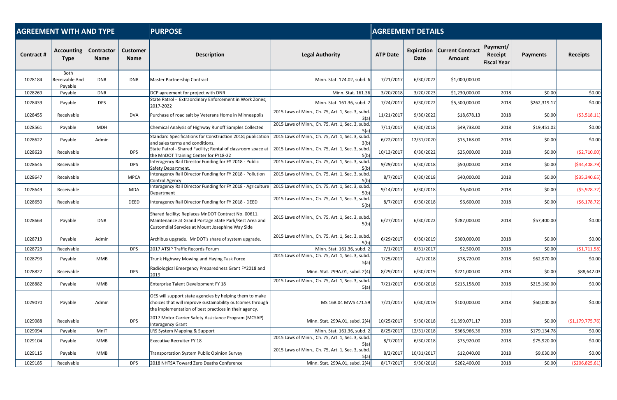| <b>AGREEMENT WITH AND TYPE</b> |                                   |                           |                                | <b>PURPOSE</b>                                                                                                                                                                | <b>AGREEMENT DETAILS</b>                                  |                 |                           |                                   |                                           |                 |                   |
|--------------------------------|-----------------------------------|---------------------------|--------------------------------|-------------------------------------------------------------------------------------------------------------------------------------------------------------------------------|-----------------------------------------------------------|-----------------|---------------------------|-----------------------------------|-------------------------------------------|-----------------|-------------------|
| <b>Contract#</b>               | <b>Accounting</b><br><b>Type</b>  | Contractor<br><b>Name</b> | <b>Customer</b><br><b>Name</b> | <b>Description</b>                                                                                                                                                            | <b>Legal Authority</b>                                    | <b>ATP Date</b> | Expiration<br><b>Date</b> | <b>Current Contract</b><br>Amount | Payment/<br>Receipt<br><b>Fiscal Year</b> | <b>Payments</b> | <b>Receipts</b>   |
| 1028184                        | Both<br>Receivable And<br>Payable | <b>DNR</b>                | <b>DNR</b>                     | <b>Master Partnership Contract</b>                                                                                                                                            | Minn. Stat. 174.02, subd. 6                               | 7/21/2017       | 6/30/2022                 | \$1,000,000.00                    |                                           |                 |                   |
| 1028269                        | Payable                           | <b>DNR</b>                |                                | DCP agreement for project with DNR                                                                                                                                            | Minn. Stat. 161.36                                        | 3/20/2018       | 3/20/2023                 | \$1,230,000.00                    | 2018                                      | \$0.00          | \$0.00            |
| 1028439                        | Payable                           | <b>DPS</b>                |                                | State Patrol - Extraordinary Enforcement in Work Zones;<br>2017-2022                                                                                                          | Minn. Stat. 161.36, subd. 2                               | 7/24/2017       | 6/30/2022                 | \$5,500,000.00                    | 2018                                      | \$262,319.17    | \$0.00            |
| 1028455                        | Receivable                        |                           | <b>DVA</b>                     | Purchase of road salt by Veterans Home in Minneapolis                                                                                                                         | 2015 Laws of Minn., Ch. 75, Art. 1, Sec. 3, subd<br>3(a)  | 11/21/2017      | 9/30/2022                 | \$18,678.13                       | 2018                                      | \$0.00          | ( \$3,518.11)     |
| 1028561                        | Payable                           | MDH                       |                                | Chemical Analysis of Highway Runoff Samples Collected                                                                                                                         | 2015 Laws of Minn., Ch. 75, Art. 1, Sec. 3, subd<br>5(a)  | 7/11/2017       | 6/30/2018                 | \$49,738.00                       | 2018                                      | \$19,451.02     | \$0.00            |
| 1028622                        | Payable                           | Admin                     |                                | Standard Specifications for Construction 2018; publication<br>and sales terms and conditions.                                                                                 | 2015 Laws of Minn., Ch. 75, Art. 1, Sec. 3, subd.<br>3(b) | 6/22/2017       | 12/31/2020                | \$15,168.00                       | 2018                                      | \$0.00          | \$0.00            |
| 1028623                        | Receivable                        |                           | <b>DPS</b>                     | State Patrol - Shared Facility; Rental of classroom space at<br>the MnDOT Training Center for FY18-22                                                                         | 2015 Laws of Minn., Ch. 75, Art. 1, Sec. 3, subd<br>5(b)  | 10/13/2017      | 6/30/2022                 | \$25,000.00                       | 2018                                      | \$0.00          | ( \$2,710.00]     |
| 1028646                        | Receivable                        |                           | <b>DPS</b>                     | Interagency Rail Director Funding for FY 2018 - Public<br>Safety Department.                                                                                                  | 2015 Laws of Minn., Ch. 75, Art. 1, Sec. 3, subd<br>5(b)  | 9/29/2017       | 6/30/2018                 | \$50,000.00                       | 2018                                      | \$0.00          | (544, 408.79)     |
| 1028647                        | Receivable                        |                           | <b>MPCA</b>                    | Interagency Rail Director Funding for FY 2018 - Pollution<br><b>Control Agency</b>                                                                                            | 2015 Laws of Minn., Ch. 75, Art. 1, Sec. 3, subd.<br>5(b) | 8/7/2017        | 6/30/2018                 | \$40,000.00                       | 2018                                      | \$0.00          | ( \$35, 340.65)   |
| 1028649                        | Receivable                        |                           | <b>MDA</b>                     | Interagency Rail Director Funding for FY 2018 - Agriculture<br>Department                                                                                                     | 2015 Laws of Minn., Ch. 75, Art. 1, Sec. 3, subd<br>5(b)  | 9/14/2017       | 6/30/2018                 | \$6,600.00                        | 2018                                      | \$0.00          | (55, 978.72)      |
| 1028650                        | Receivable                        |                           | <b>DEED</b>                    | Interagency Rail Director Funding for FY 2018 - DEED                                                                                                                          | 2015 Laws of Minn., Ch. 75, Art. 1, Sec. 3, subd.<br>5(b) | 8/7/2017        | 6/30/2018                 | \$6,600.00                        | 2018                                      | \$0.00          | (56, 178.72)      |
| 1028663                        | Payable                           | <b>DNR</b>                |                                | Shared facility; Replaces MnDOT Contract No. 00611.<br>Maintenance at Grand Portage State Park/Rest Area and<br>Customdial Servcies at Mount Josephine Way Side               | 2015 Laws of Minn., Ch. 75, Art. 1, Sec. 3, subd.<br>5(b) | 6/27/2017       | 6/30/2022                 | \$287,000.00                      | 2018                                      | \$57,400.00     | \$0.00            |
| 1028713                        | Payable                           | Admin                     |                                | Archibus upgrade. MnDOT's share of system upgrade.                                                                                                                            | 2015 Laws of Minn., Ch. 75, Art. 1, Sec. 3, subd.<br>5(b) | 6/29/2017       | 6/30/2019                 | \$300,000.00                      | 2018                                      | \$0.00          | \$0.00            |
| 1028723                        | Receivable                        |                           | <b>DPS</b>                     | 2017 ATSIP Traffic Records Forum                                                                                                                                              | Minn. Stat. 161.36, subd. 2                               | 7/1/2017        | 8/31/2017                 | \$2,500.00                        | 2018                                      | \$0.00          | (\$1,711.58)      |
| 1028793                        | Payable                           | MMB                       |                                | Trunk Highway Mowing and Haying Task Force                                                                                                                                    | 2015 Laws of Minn., Ch. 75, Art. 1, Sec. 3, subd<br>5(a)  | 7/25/2017       | 4/1/2018                  | \$78,720.00                       | 2018                                      | \$62,970.00     | \$0.00            |
| 1028827                        | Receivable                        |                           | <b>DPS</b>                     | Radiological Emergency Preparedness Grant FY2018 and<br>2019                                                                                                                  | Minn. Stat. 299A.01, subd. 2(4)                           | 8/29/2017       | 6/30/2019                 | \$221,000.00                      | 2018                                      | \$0.00          | \$88,642.03       |
| 1028882                        | Payable                           | MMB                       |                                | Enterprise Talent Development FY 18                                                                                                                                           | 2015 Laws of Minn., Ch. 75, Art. 1, Sec. 3, subd.<br>5(a) | 7/21/2017       | 6/30/2018                 | \$215,158.00                      | 2018                                      | \$215,160.00    | \$0.00            |
| 1029070                        | Payable                           | Admin                     |                                | OES will support state agencies by helping them to make<br>choices that will improve sustainability outcomes through<br>the implementation of best practices in their agency. | MS 16B.04 MWS 471.59                                      | 7/21/2017       | 6/30/2019                 | \$100,000.00                      | 2018                                      | \$60,000.00]    | \$0.00            |
| 1029088                        | Receivable                        |                           | <b>DPS</b>                     | 2017 Motor Carrier Safety Assistance Program (MCSAP)<br>Interagency Grant                                                                                                     | Minn. Stat. 299A.01, subd. 2(4)                           | 10/25/2017      | 9/30/2018                 | \$1,399,071.17                    | 2018                                      | \$0.00          | ( \$1,179,775.76) |
| 1029094                        | Payable                           | MnIT                      |                                | LRS System Mapping & Support                                                                                                                                                  | Minn. Stat. 161.36, subd. 2                               | 8/25/2017       | 12/31/2018                | \$366,966.36                      | 2018                                      | \$179,134.78    | \$0.00            |
| 1029104                        | Payable                           | MMB                       |                                | <b>Executive Recruiter FY 18</b>                                                                                                                                              | 2015 Laws of Minn., Ch. 75, Art. 1, Sec. 3, subd.<br>5(a) | 8/7/2017        | 6/30/2018                 | \$75,920.00                       | 2018                                      | \$75,920.00     | \$0.00            |
| 1029115                        | Payable                           | MMB                       |                                | Transportation System Public Opinion Survey                                                                                                                                   | 2015 Laws of Minn., Ch. 75, Art. 1, Sec. 3, subd.<br>5(a) | 8/2/2017        | 10/31/2017                | \$12,040.00                       | 2018                                      | \$9,030.00      | \$0.00            |
| 1029185                        | Receivable                        |                           | <b>DPS</b>                     | 2018 NHTSA Toward Zero Deaths Conference                                                                                                                                      | Minn. Stat. 299A.01, subd. 2(4)                           | 8/17/2017       | 9/30/2018                 | \$262,400.00                      | 2018                                      | \$0.00          | ( \$206, 825.61)  |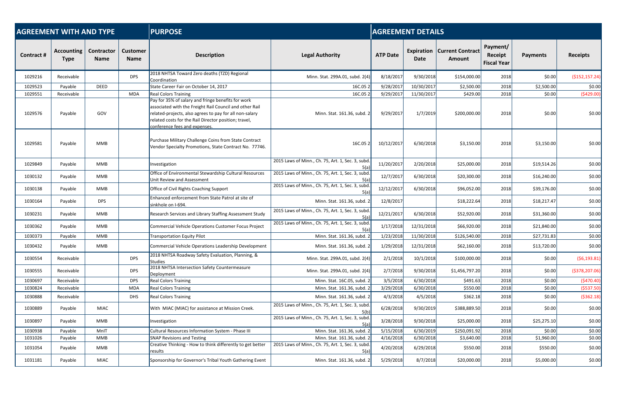| <b>AGREEMENT WITH AND TYPE</b> |                                  |                           |                                | <b>PURPOSE</b>                                                                                                                                                                                                                                                     |                                                           |                 | <b>AGREEMENT DETAILS</b> |                                   |                                           |                 |                  |  |  |
|--------------------------------|----------------------------------|---------------------------|--------------------------------|--------------------------------------------------------------------------------------------------------------------------------------------------------------------------------------------------------------------------------------------------------------------|-----------------------------------------------------------|-----------------|--------------------------|-----------------------------------|-------------------------------------------|-----------------|------------------|--|--|
| Contract #                     | <b>Accounting</b><br><b>Type</b> | Contractor<br><b>Name</b> | <b>Customer</b><br><b>Name</b> | <b>Description</b>                                                                                                                                                                                                                                                 | <b>Legal Authority</b>                                    | <b>ATP Date</b> | Expiration<br>Date       | <b>Current Contract</b><br>Amount | Payment/<br>Receipt<br><b>Fiscal Year</b> | <b>Payments</b> | <b>Receipts</b>  |  |  |
| 1029216                        | Receivable                       |                           | <b>DPS</b>                     | 2018 NHTSA Toward Zero deaths (TZD) Regional<br>Coordination                                                                                                                                                                                                       | Minn. Stat. 299A.01, subd. 2(4)                           | 8/18/2017       | 9/30/2018                | \$154,000.00                      | 2018                                      | \$0.00          | (\$152,157.24)   |  |  |
| 1029523                        | Payable                          | <b>DEED</b>               |                                | State Career Fair on October 14, 2017                                                                                                                                                                                                                              | 16C.052                                                   | 9/28/2017       | 10/30/2017               | \$2,500.00                        | 2018                                      | \$2,500.00      | \$0.00           |  |  |
| 1029551                        | Receivable                       |                           | <b>MDA</b>                     | <b>Real Colors Training</b>                                                                                                                                                                                                                                        | 16C.052                                                   | 9/29/2017       | 11/30/2017               | \$429.00                          | 2018                                      | \$0.00          | (\$429.00)       |  |  |
| 1029576                        | Payable                          | GOV                       |                                | Pay for 35% of salary and fringe benefits for work<br>associated with the Freight Rail Council and other Rail<br>related-projects, also agrees to pay for all non-salary<br>related costs for the Rail Director position; travel,<br>conference fees and expenses. | Minn. Stat. 161.36, subd. 2                               | 9/29/2017       | 1/7/2019                 | \$200,000.00                      | 2018                                      | \$0.00          | \$0.00           |  |  |
| 1029581                        | Payable                          | <b>MMB</b>                |                                | Purchase Military Challenge Coins from State Contract<br>Vendor Specialty Promotions, State Contract No. 77746.                                                                                                                                                    | 16C.05 $2$                                                | 10/12/2017      | 6/30/2018                | \$3,150.00                        | 2018                                      | \$3,150.00      | \$0.00           |  |  |
| 1029849                        | Payable                          | MMB                       |                                | Investigation                                                                                                                                                                                                                                                      | 2015 Laws of Minn., Ch. 75, Art. 1, Sec. 3, subd.<br>5(a) | 11/20/2017      | 2/20/2018                | \$25,000.00                       | 2018                                      | \$19,514.26     | \$0.00           |  |  |
| 1030132                        | Payable                          | MMB                       |                                | Office of Environmental Stewardship Cultural Resources<br>Unit Review and Assessment                                                                                                                                                                               | 2015 Laws of Minn., Ch. 75, Art. 1, Sec. 3, subd.<br>5(a) | 12/7/2017       | 6/30/2018                | \$20,300.00                       | 2018                                      | \$16,240.00     | \$0.00           |  |  |
| 1030138                        | Payable                          | MMB                       |                                | Office of Civil Rights Coaching Support                                                                                                                                                                                                                            | 2015 Laws of Minn., Ch. 75, Art. 1, Sec. 3, subd.<br>5(a) | 12/12/2017      | 6/30/2018                | \$96,052.00                       | 2018                                      | \$39,176.00     | \$0.00           |  |  |
| 1030164                        | Payable                          | <b>DPS</b>                |                                | Enhanced enforcement from State Patrol at site of<br>sinkhole on I-694.                                                                                                                                                                                            | Minn. Stat. 161.36, subd. 2                               | 12/8/2017       |                          | \$18,222.64                       | 2018                                      | \$18,217.47     | \$0.00           |  |  |
| 1030231                        | Payable                          | MMB                       |                                | Research Services and Library Staffing Assessment Study                                                                                                                                                                                                            | 2015 Laws of Minn., Ch. 75, Art. 1, Sec. 3, subd.<br>5(a) | 12/21/2017      | 6/30/2018                | \$52,920.00                       | 2018                                      | \$31,360.00     | \$0.00           |  |  |
| 1030362                        | Payable                          | MMB                       |                                | Commercial Vehicle Operations Customer Focus Project                                                                                                                                                                                                               | 2015 Laws of Minn., Ch. 75, Art. 1, Sec. 3, subd.         | 1/17/2018       | 12/31/2018               | \$66,920.00                       | 2018                                      | \$21,840.00     | \$0.00           |  |  |
| 1030373                        | Payable                          | <b>MMB</b>                |                                | <b>Transportation Equity Pilot</b>                                                                                                                                                                                                                                 | Minn. Stat. 161.36, subd.                                 | 1/23/2018       | 11/30/2018               | \$126,540.00                      | 2018                                      | \$27,731.83     | \$0.00           |  |  |
| 1030432                        | Payable                          | <b>MMB</b>                |                                | Commercial Vehicle Operations Leadership Development                                                                                                                                                                                                               | Minn. Stat. 161.36, subd. 2                               | 1/29/2018       | 12/31/2018               | \$62,160.00                       | 2018                                      | \$13,720.00     | \$0.00           |  |  |
| 1030554                        | Receivable                       |                           | <b>DPS</b>                     | 2018 NHTSA Roadway Safety Evaluation, Planning, &<br><b>Studies</b>                                                                                                                                                                                                | Minn. Stat. 299A.01, subd. 2(4)                           | 2/1/2018        | 10/1/2018                | \$100,000.00                      | 2018                                      | \$0.00          | (56, 193.81)     |  |  |
| 1030555                        | Receivable                       |                           | <b>DPS</b>                     | 2018 NHTSA Intersection Safety Countermeasure<br>Deployment                                                                                                                                                                                                        | Minn. Stat. 299A.01, subd. 2(4)                           | 2/7/2018        | 9/30/2018                | \$1,456,797.20                    | 2018                                      | \$0.00          | ( \$378, 207.06) |  |  |
| 1030697                        | Receivable                       |                           | <b>DPS</b>                     | <b>Real Colors Training</b>                                                                                                                                                                                                                                        | Minn. Stat. 16C.05, subd. 2                               | 3/5/2018        | 6/30/2018                | \$491.63                          | 2018                                      | \$0.00          | (5470.40)        |  |  |
| 1030824                        | Receivable                       |                           | MDA                            | <b>Real Colors Training</b>                                                                                                                                                                                                                                        | Minn. Stat. 161.36, subd. 2                               | 3/29/2018       | 6/30/2018                | \$550.00                          | 2018                                      | \$0.00          | ( \$537.50]      |  |  |
| 1030888                        | Receivable                       |                           | <b>DHS</b>                     | <b>Real Colors Training</b>                                                                                                                                                                                                                                        | Minn. Stat. 161.36, subd. 2                               | 4/3/2018        | 4/5/2018                 | \$362.18                          | 2018                                      | \$0.00          | ( \$362.18)      |  |  |
| 1030889                        | Payable                          | MIAC                      |                                | With MIAC (MIAC) for assistance at Mission Creek.                                                                                                                                                                                                                  | 2015 Laws of Minn., Ch. 75, Art. 1, Sec. 3, subd.<br>5(b) | 6/28/2018       | 9/30/2019                | \$388,889.50                      | 2018                                      | \$0.00          | \$0.00           |  |  |
| 1030897                        | Payable                          | MMB                       |                                | Investigation                                                                                                                                                                                                                                                      | 2015 Laws of Minn., Ch. 75, Art. 1, Sec. 3, subd.<br>5(a) | 3/28/2018       | 9/30/2018                | \$25,000.00                       | 2018                                      | \$25,275.10     | \$0.00           |  |  |
| 1030938                        | Payable                          | MnIT                      |                                | Cultural Resources Information System - Phase III                                                                                                                                                                                                                  | Minn. Stat. 161.36, subd. 2                               | 5/15/2018       | 6/30/2019                | \$250,091.92                      | 2018                                      | \$0.00          | \$0.00           |  |  |
| 1031026                        | Payable                          | <b>MMB</b>                |                                | <b>SNAP Revisions and Testing</b>                                                                                                                                                                                                                                  | Minn. Stat. 161.36, subd. 2                               | 4/16/2018       | 6/30/2018                | \$3,640.00                        | 2018                                      | \$1,960.00      | \$0.00           |  |  |
| 1031054                        | Payable                          | MMB                       |                                | Creative Thinking - How to think differently to get better<br>results                                                                                                                                                                                              | 2015 Laws of Minn., Ch. 75, Art. 1, Sec. 3, subd.<br>5(a) | 4/20/2018       | 6/29/2018                | \$550.00                          | 2018                                      | \$550.00        | \$0.00           |  |  |
| 1031181                        | Payable                          | MIAC                      |                                | Sponsorship for Governor's Tribal Youth Gathering Event                                                                                                                                                                                                            | Minn. Stat. 161.36, subd. 2                               | 5/29/2018       | 8/7/2018                 | \$20,000.00                       | 2018                                      | \$5,000.00      | \$0.00           |  |  |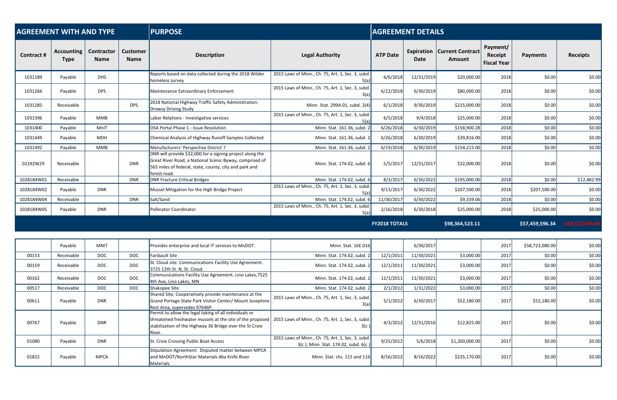| <b>AGREEMENT WITH AND TYPE</b> |                                  |                                  |                                | <b>PURPOSE</b><br><b>AGREEMENT DETAILS</b>                                                                                                                                                     |                                                           |                      |                    |                                          |                                           |                 |                   |
|--------------------------------|----------------------------------|----------------------------------|--------------------------------|------------------------------------------------------------------------------------------------------------------------------------------------------------------------------------------------|-----------------------------------------------------------|----------------------|--------------------|------------------------------------------|-------------------------------------------|-----------------|-------------------|
| Contract #                     | <b>Accounting</b><br><b>Type</b> | <b>Contractor</b><br><b>Name</b> | <b>Customer</b><br><b>Name</b> | <b>Description</b>                                                                                                                                                                             | <b>Legal Authority</b>                                    | <b>ATP Date</b>      | Expiration<br>Date | <b>Current Contract</b><br><b>Amount</b> | Payment/<br>Receipt<br><b>Fiscal Year</b> | <b>Payments</b> | <b>Receipts</b>   |
| 1031189                        | Payable                          | <b>DHS</b>                       |                                | Reports based on data collected during the 2018 Wilder<br>homeless survey                                                                                                                      | 2015 Laws of Minn., Ch. 75, Art. 1, Sec. 3, subd.<br>5(a) | 6/6/2018             | 12/31/2019         | \$20,000.00                              | 2018                                      | \$0.00          | \$0.00            |
| 1031266                        | Payable                          | <b>DPS</b>                       |                                | Maintenance Extraordinary Enforcement                                                                                                                                                          | 2015 Laws of Minn., Ch. 75, Art. 1, Sec. 3, subd.<br>3(a) | 6/22/2018            | 6/30/2019          | \$80,000.00                              | 2018                                      | \$0.00          | \$0.00            |
| 1031285                        | Receivable                       |                                  | <b>DPS</b>                     | 2018 National Highway Traffic Safety Administration:<br>Drowsy Driving Study                                                                                                                   | Minn. Stat. 299A.01, subd. 2(4)                           | 6/1/2018             | 9/30/2019          | \$215,000.00                             | 2018                                      | \$0.00          | \$0.00            |
| 1031396                        | Payable                          | <b>MMB</b>                       |                                | Labor Relations - Investigative services                                                                                                                                                       | 2015 Laws of Minn., Ch. 75, Art. 1, Sec. 3, subd.<br>5(a) | 6/5/2018             | 9/4/2018           | \$25,000.00                              | 2018                                      | \$0.00          | \$0.00            |
| 1031400                        | Payable                          | MnIT                             |                                | OSA Portal Phase 1 - Issue Resolution                                                                                                                                                          | Minn. Stat. 161.36, subd. 2                               | 6/26/2018            | 6/30/2019          | \$158,900.28                             | 2018                                      | \$0.00          | \$0.00            |
| 1031449                        | Payable                          | <b>MDH</b>                       |                                | Chemical Analysis of Highway Runoff Samples Collected                                                                                                                                          | Minn. Stat. 161.36, subd. 2                               | 6/26/2018            | 6/30/2019          | \$39,816.00                              | 2018                                      | \$0.00          | \$0.00            |
| 1031492                        | Payable                          | <b>MMB</b>                       |                                | Manufacturers' Perspective District 7                                                                                                                                                          | Minn. Stat. 161.36, subd. 2                               | 6/19/2018            | 6/30/2019          | \$154,215.00                             | 2018                                      | \$0.00          | \$0.00            |
| 02192W29                       | Receivable                       |                                  | <b>DNR</b>                     | DNR will provide \$32,000 for a signing project along the<br>Great River Road, a National Scenic Byway, comprised of<br>565 miles of federal, state, county, city and park and<br>forest road. | Minn. Stat. 174.02, subd. 6                               | 5/5/2017             | 12/31/2017         | \$32,000.00                              | 2018                                      | \$0.00          | \$0.00            |
| 1028184W01                     | Receivable                       |                                  | <b>DNR</b>                     | <b>DNR Fracture Critical Bridges</b>                                                                                                                                                           | Minn. Stat. 174.02, subd. 6                               | 8/3/2017             | 6/30/2022          | \$195,000.00                             | 2018                                      | \$0.00          | \$12,482.99       |
| 1028184W02                     | Payable                          | <b>DNR</b>                       |                                | Mussel Mitigation for the High Bridge Project                                                                                                                                                  | 2015 Laws of Minn., Ch. 75, Art. 1, Sec. 3, subd.<br>5(a) | 9/13/2017            | 6/30/2022          | \$207,500.00                             | 2018                                      | \$207,500.00    | \$0.00            |
| 1028184W04                     | Receivable                       |                                  | <b>DNR</b>                     | Salt/Sand                                                                                                                                                                                      | Minn. Stat. 174.02, subd. 6                               | 11/30/2017           | 6/30/2022          | \$9,339.06                               | 2018                                      | \$0.00          | \$0.00            |
| 1028184W05                     | Payable                          | <b>DNR</b>                       |                                | Pollinator Coordinator                                                                                                                                                                         | 2015 Laws of Minn., Ch. 75, Art. 1, Sec. 3, subd.<br>5(a) | 2/16/2018            | 6/30/2018          | \$25,000.00                              | 2018                                      | \$25,000.00     | \$0.00            |
|                                |                                  |                                  |                                |                                                                                                                                                                                                |                                                           | <b>FY2018 TOTALS</b> |                    | \$98,364,523.11                          |                                           | \$57,459,596.34 | $-510.572.004.69$ |

|       | Payable    | <b>MNIT</b> |            | Provides enterprise and local IT services to MnDOT.                                                                                                                                                                                           | Minn. Stat. 16E.016                                                                       |           | 6/30/2017  |                | 2017 | \$58,723,080.00 | \$0.00 |
|-------|------------|-------------|------------|-----------------------------------------------------------------------------------------------------------------------------------------------------------------------------------------------------------------------------------------------|-------------------------------------------------------------------------------------------|-----------|------------|----------------|------|-----------------|--------|
| 00153 | Receivable | <b>DOC</b>  | <b>DOC</b> | Faribault Site                                                                                                                                                                                                                                | Minn. Stat. 174.02, subd. 2                                                               | 12/1/2011 | 11/30/2021 | \$3,000.00     | 2017 | \$0.00          | \$0.00 |
| 00159 | Receivable | <b>DOC</b>  | <b>DOC</b> | St. Cloud site. Communications Facility Use Agreement.<br>3725 12th St. N, St. Cloud.                                                                                                                                                         | Minn. Stat. 174.02, subd. 2                                                               | 12/1/2011 | 11/30/2021 | \$3,000.00     | 2017 | \$0.00          | \$0.00 |
| 00162 | Receivable | <b>DOC</b>  | <b>DOC</b> | Communications Facility Use Agreement. Lino Lakes, 7525<br>4th Ave, Lino Lakes, MN                                                                                                                                                            | Minn. Stat. 174.02, subd. 2                                                               | 12/1/2011 | 11/30/2021 | \$3,000.00     | 2017 | \$0.00          | \$0.00 |
| 00517 | Receivable | <b>DOC</b>  | <b>DOC</b> | Shakopee Site.                                                                                                                                                                                                                                | Minn. Stat. 174.02, subd. 2                                                               | 2/1/2012  | 1/31/2022  | \$3,000.00     | 2017 | \$0.00          | \$0.00 |
| 00611 | Payable    | <b>DNR</b>  |            | Shared Site; Cooperatively provide maintenance at the<br>Grand Portage State Park Visitor Center/ Mount Josephine<br>Rest Area, supersedes 97646P.                                                                                            | 2015 Laws of Minn., Ch. 75, Art. 1, Sec. 3, subd.                                         | 5/1/2012  | 6/30/2017  | \$52,180.00    | 2017 | \$52,180.00     | \$0.00 |
| 00767 | Payable    | <b>DNR</b>  |            | Permit to allow the legal taking of all individuals or<br>threatened freshwater mussels at the site of the proposed   2015 Laws of Minn., Ch. 75, Art. 1, Sec. 3, subd.<br>stabilization of the Highway 36 Bridge over the St Croix<br>River. | 3(c)                                                                                      | 4/3/2012  | 12/31/2016 | \$12,825.00    | 2017 | \$0.00          | \$0.00 |
| 01080 | Payable    | <b>DNR</b>  |            | St. Croix Crossing Public Boat Access                                                                                                                                                                                                         | 2015 Laws of Minn., Ch. 75, Art. 1, Sec. 3, subd.<br>3(c); Minn. Stat. 174.02, subd. 6(c) | 9/25/2012 | 5/6/2018   | \$1,200,000.00 | 2017 | \$0.00          | \$0.00 |
| 01822 | Payable    | <b>MPCA</b> |            | Stipulation Agreement: Disputed matter between MPCA<br>and MnDOT/NorthStar Materials dba Knife River<br>Materials.                                                                                                                            | Minn. Stat. chs. 115 and 116                                                              | 8/16/2012 | 8/16/2022  | \$235,170.00   | 2017 | \$0.00          | \$0.00 |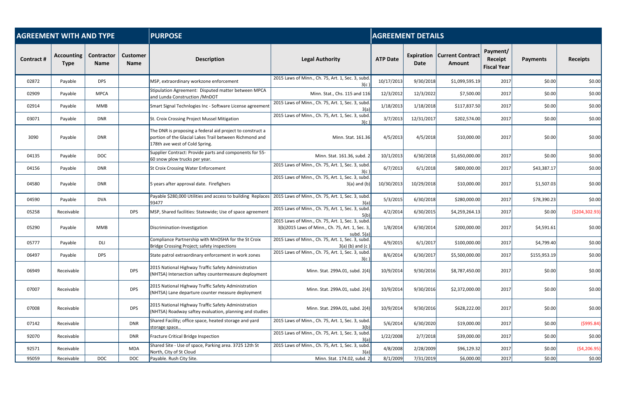| <b>AGREEMENT WITH AND TYPE</b> |                                  |                           |                                | <b>PURPOSE</b>                                                                                                                                         |                                                                                                                      |                 | <b>AGREEMENT DETAILS</b> |                                   |                                           |                 |                  |  |  |
|--------------------------------|----------------------------------|---------------------------|--------------------------------|--------------------------------------------------------------------------------------------------------------------------------------------------------|----------------------------------------------------------------------------------------------------------------------|-----------------|--------------------------|-----------------------------------|-------------------------------------------|-----------------|------------------|--|--|
| Contract #                     | <b>Accounting</b><br><b>Type</b> | Contractor<br><b>Name</b> | <b>Customer</b><br><b>Name</b> | <b>Description</b>                                                                                                                                     | <b>Legal Authority</b>                                                                                               | <b>ATP Date</b> | Expiration<br>Date       | <b>Current Contract</b><br>Amount | Payment/<br>Receipt<br><b>Fiscal Year</b> | <b>Payments</b> | <b>Receipts</b>  |  |  |
| 02872                          | Payable                          | <b>DPS</b>                |                                | MSP, extraordinary workzone enforcement                                                                                                                | 2015 Laws of Minn., Ch. 75, Art. 1, Sec. 3, subd                                                                     | 10/17/2013      | 9/30/2018                | \$1,099,595.19                    | 2017                                      | \$0.00          | \$0.00           |  |  |
| 02909                          | Payable                          | <b>MPCA</b>               |                                | Stipulation Agreement: Disputed matter between MPCA<br>and Lunda Construction / MnDOT                                                                  | Minn. Stat., Chs. 115 and 116                                                                                        | 12/3/2012       | 12/3/2022                | \$7,500.00                        | 2017                                      | \$0.00          | \$0.00           |  |  |
| 02914                          | Payable                          | <b>MMB</b>                |                                | Smart Signal Technlogies Inc - Software License agreement                                                                                              | 2015 Laws of Minn., Ch. 75, Art. 1, Sec. 3, subd.                                                                    | 1/18/2013       | 1/18/2018                | \$117,837.50                      | 2017                                      | \$0.00          | \$0.00           |  |  |
| 03071                          | Payable                          | <b>DNR</b>                |                                | St. Croix Crossing Project Mussel Mitigation                                                                                                           | 2015 Laws of Minn., Ch. 75, Art. 1, Sec. 3, subd.                                                                    | 3/7/2013        | 12/31/2017               | \$202,574.00                      | 2017                                      | \$0.00          | \$0.00           |  |  |
| 3090                           | Payable                          | <b>DNR</b>                |                                | The DNR is proposing a federal aid project to construct a<br>portion of the Glacial Lakes Trail between Richmond and<br>178th ave west of Cold Spring. | Minn. Stat. 161.36                                                                                                   | 4/5/2013        | 4/5/2018                 | \$10,000.00                       | 2017                                      | \$0.00          | \$0.00           |  |  |
| 04135                          | Payable                          | <b>DOC</b>                |                                | Supplier Contract: Provide parts and components for 55-<br>60 snow plow trucks per year.                                                               | Minn. Stat. 161.36, subd. 2                                                                                          | 10/1/2013       | 6/30/2018                | \$1,650,000.00                    | 2017                                      | \$0.00          | \$0.00           |  |  |
| 04156                          | Payable                          | <b>DNR</b>                |                                | <b>St Croix Crossing Water Enforcement</b>                                                                                                             | 2015 Laws of Minn., Ch. 75, Art. 1, Sec. 3, subd.<br>3(c)                                                            | 6/7/2013        | 6/1/2018                 | \$800,000.00                      | 2017                                      | \$43,387.17     | \$0.00           |  |  |
| 04580                          | Payable                          | <b>DNR</b>                |                                | 5 years after approval date. Firefighers                                                                                                               | 2015 Laws of Minn., Ch. 75, Art. 1, Sec. 3, subd.<br>$3(a)$ and (b)                                                  | 10/30/2013      | 10/29/2018               | \$10,000.00                       | 2017                                      | \$1,507.03      | \$0.00           |  |  |
| 04590                          | Payable                          | <b>DVA</b>                |                                | Payable \$280,000 Utilities and access to building Replaces<br>93477                                                                                   | 2015 Laws of Minn., Ch. 75, Art. 1, Sec. 3, subd<br>3(a)                                                             | 5/3/2015        | 6/30/2018                | \$280,000.00                      | 2017                                      | \$78,390.23     | \$0.00           |  |  |
| 05258                          | Receivable                       |                           | <b>DPS</b>                     | MSP, Shared facilities: Statewide; Use of space agreement                                                                                              | 2015 Laws of Minn., Ch. 75, Art. 1, Sec. 3, subd<br>5(b)                                                             | 4/2/2014        | 6/30/2015                | \$4,259,264.13                    | 2017                                      | \$0.00          | ( \$204, 302.93) |  |  |
| 05290                          | Payable                          | <b>MMB</b>                |                                | Discrimination-Investigation                                                                                                                           | 2015 Laws of Minn., Ch. 75, Art. 1, Sec. 3, subd.<br>3(b)2015 Laws of Minn., Ch. 75, Art. 1, Sec. 3,<br>subd. $5(a)$ | 1/8/2014        | 6/30/2014                | \$200,000.00                      | 2017                                      | \$4,591.61      | \$0.00           |  |  |
| 05777                          | Payable                          | DLI                       |                                | Compliance Partnership with MnOSHA for the St Croix<br>Bridge Crossing Project; safety inspections                                                     | 2015 Laws of Minn., Ch. 75, Art. 1, Sec. 3, subd<br>$3(a)$ (b) and (c)                                               | 4/9/2015        | 6/1/2017                 | \$100,000.00                      | 2017                                      | \$4,799.40      | \$0.00           |  |  |
| 06497                          | Payable                          | <b>DPS</b>                |                                | State patrol extraordinary enforcement in work zones                                                                                                   | 2015 Laws of Minn., Ch. 75, Art. 1, Sec. 3, subd.<br>3(c)                                                            | 8/6/2014        | 6/30/2017                | \$5,500,000.00                    | 2017                                      | \$155,953.19    | \$0.00           |  |  |
| 06949                          | Receivable                       |                           | <b>DPS</b>                     | 2015 National Highway Traffic Safety Administration<br>(NHTSA) Intersection saftey countermeasure deployment                                           | Minn. Stat. 299A.01, subd. 2(4)                                                                                      | 10/9/2014       | 9/30/2016                | \$8,787,450.00                    | 2017                                      | \$0.00          | \$0.00           |  |  |
| 07007                          | Receivable                       |                           | <b>DPS</b>                     | 2015 National Highway Traffic Safety Administration<br>(NHTSA) Lane departure counter measure deployment                                               | Minn. Stat. 299A.01, subd. 2(4)                                                                                      | 10/9/2014       | 9/30/2016                | \$2,372,000.00                    | 2017                                      | \$0.00          | \$0.00           |  |  |
| 07008                          | Receivable                       |                           | <b>DPS</b>                     | 2015 National Highway Traffic Safety Administration<br>(NHTSA) Roadway saftey evaluation, planning and studies                                         | Minn. Stat. 299A.01, subd. 2(4)                                                                                      | 10/9/2014       | 9/30/2016                | \$628,222.00                      | 2017                                      | \$0.00          | \$0.00           |  |  |
| 07142                          | Receivable                       |                           | <b>DNR</b>                     | Shared Facility; office space, heated storage and yard<br>storage space                                                                                | 2015 Laws of Minn., Ch. 75, Art. 1, Sec. 3, subd.<br>3(b)                                                            | 5/6/2014        | 6/30/2020                | \$19,000.00                       | 2017                                      | \$0.00          | (5995.84)        |  |  |
| 92070                          | Receivable                       |                           | <b>DNR</b>                     | Fracture Critical Bridge Inspection                                                                                                                    | 2015 Laws of Minn., Ch. 75, Art. 1, Sec. 3, subd.<br>3(a)                                                            | 1/22/2008       | 2/7/2018                 | \$39,000.00                       | 2017                                      | \$0.00          | \$0.00           |  |  |
| 92571                          | Receivable                       |                           | <b>MDA</b>                     | Shared Site - Use of space, Parking area. 3725 12th St<br>North, City of St Cloud                                                                      | 2015 Laws of Minn., Ch. 75, Art. 1, Sec. 3, subd.<br>3(a)                                                            | 4/8/2008        | 2/28/2009                | \$96,129.32                       | 2017                                      | \$0.00          | ( \$4,206.95)    |  |  |
| 95059                          | Receivable                       | <b>DOC</b>                | <b>DOC</b>                     | Payable. Rush City Site.                                                                                                                               | Minn. Stat. 174.02, subd. 2                                                                                          | 8/1/2009        | 7/31/2019                | \$6,000.00                        | 2017                                      | \$0.00          | \$0.00           |  |  |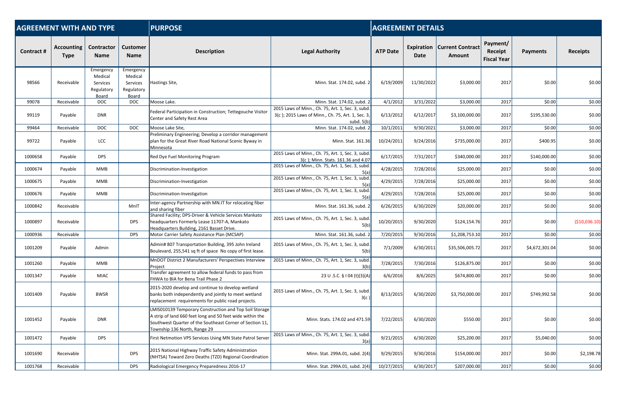| <b>AGREEMENT WITH AND TYPE</b><br><b>PURPOSE</b><br><b>AGREEMENT DETAILS</b> |                                  |                                                         |                                                         |                                                                                                                                                                                                                 |                                                                                                                     |                 |            |                                                       |                                           |                 |                 |
|------------------------------------------------------------------------------|----------------------------------|---------------------------------------------------------|---------------------------------------------------------|-----------------------------------------------------------------------------------------------------------------------------------------------------------------------------------------------------------------|---------------------------------------------------------------------------------------------------------------------|-----------------|------------|-------------------------------------------------------|-------------------------------------------|-----------------|-----------------|
| <b>Contract#</b>                                                             | <b>Accounting</b><br><b>Type</b> | Contractor<br><b>Name</b>                               | <b>Customer</b><br><b>Name</b>                          | <b>Description</b>                                                                                                                                                                                              | <b>Legal Authority</b>                                                                                              | <b>ATP Date</b> | Date       | <b>Expiration   Current Contract</b><br><b>Amount</b> | Payment/<br>Receipt<br><b>Fiscal Year</b> | <b>Payments</b> | <b>Receipts</b> |
| 98566                                                                        | Receivable                       | Emergency<br>Medical<br>Services<br>Regulatory<br>Board | Emergency<br>Medical<br>Services<br>Regulatory<br>Board | Hastings Site,                                                                                                                                                                                                  | Minn. Stat. 174.02, subd. 2                                                                                         | 6/19/2009       | 11/30/2022 | \$3,000.00                                            | 2017                                      | \$0.00          | \$0.00          |
| 99078                                                                        | Receivable                       | <b>DOC</b>                                              | <b>DOC</b>                                              | Moose Lake.                                                                                                                                                                                                     | Minn. Stat. 174.02, subd. 2                                                                                         | 4/1/2012        | 3/31/2022  | \$3,000.00                                            | 2017                                      | \$0.00          | \$0.00          |
| 99119                                                                        | Payable                          | <b>DNR</b>                                              |                                                         | Federal Participation in Construction; Tettegouche Visitor<br>Center and Safety Rest Area                                                                                                                       | 2015 Laws of Minn., Ch. 75, Art. 1, Sec. 3, subd.<br>3(c); 2015 Laws of Minn., Ch. 75, Art. 1, Sec. 3<br>subd. 5(b) | 6/13/2012       | 6/12/2017  | \$3,100,000.00                                        | 2017                                      | \$195,530.00    | \$0.00          |
| 99464                                                                        | Receivable                       | <b>DOC</b>                                              | <b>DOC</b>                                              | Moose Lake Site,                                                                                                                                                                                                | Minn. Stat. 174.02, subd.                                                                                           | 10/1/2011       | 9/30/2021  | \$3,000.00                                            | 2017                                      | \$0.00          | \$0.00          |
| 99722                                                                        | Payable                          | LCC                                                     |                                                         | Preliminary Engineering; Develop a corridor management<br>plan for the Great River Road National Scenic Byway in<br>Minnesota                                                                                   | Minn. Stat. 161.36                                                                                                  | 10/24/2011      | 9/24/2016  | \$735,000.00                                          | 2017                                      | \$400.95        | \$0.00          |
| 1000658                                                                      | Payable                          | <b>DPS</b>                                              |                                                         | Red Dye Fuel Monitoring Program                                                                                                                                                                                 | 2015 Laws of Minn., Ch. 75, Art. 1, Sec. 3, subd.<br>3(c); Minn. Stats. 161.36 and 4.07                             | 6/17/2015       | 7/31/2017  | \$340,000.00                                          | 2017                                      | \$140,000.00    | \$0.00          |
| 1000674                                                                      | Payable                          | <b>MMB</b>                                              |                                                         | Discrimination-Investigation                                                                                                                                                                                    | 2015 Laws of Minn., Ch. 75, Art. 1, Sec. 3, subd.<br>5(a)                                                           | 4/28/2015       | 7/28/2016  | \$25,000.00                                           | 2017                                      | \$0.00          | \$0.00          |
| 1000675                                                                      | Payable                          | <b>MMB</b>                                              |                                                         | Discrimination-Investigation                                                                                                                                                                                    | 2015 Laws of Minn., Ch. 75, Art. 1, Sec. 3, subd<br>5(a)                                                            | 4/29/2015       | 7/28/2016  | \$25,000.00                                           | 2017                                      | \$0.00          | \$0.00          |
| 1000676                                                                      | Payable                          | <b>MMB</b>                                              |                                                         | Discrimination-Investigation                                                                                                                                                                                    | 2015 Laws of Minn., Ch. 75, Art. 1, Sec. 3, subd.<br>5(a)                                                           | 4/29/2015       | 7/28/2016  | \$25,000.00                                           | 2017                                      | \$0.00          | \$0.00          |
| 1000842                                                                      | Receivable                       |                                                         | MnIT                                                    | Inter-agency Partnership with MN.IT for relocating fiber<br>and sharing fiber                                                                                                                                   | Minn. Stat. 161.36, subd. 2                                                                                         | 6/26/2015       | 6/30/2029  | \$20,000.00                                           | 2017                                      | \$0.00          | \$0.00          |
| 1000897                                                                      | Receivable                       |                                                         | <b>DPS</b>                                              | Shared Facility; DPS-Driver & Vehicle Services Mankato<br>headquarters Formerly Lease 11707-A, Mankato<br>Headquarters Building, 2161 Basset Drive.                                                             | 2015 Laws of Minn., Ch. 75, Art. 1, Sec. 3, subd.<br>5(b)                                                           | 10/20/2015      | 9/30/2020  | \$124,154.76                                          | 2017                                      | \$0.00          | ( \$10,036.10)  |
| 1000936                                                                      | Receivable                       |                                                         | <b>DPS</b>                                              | Motor Carrier Safety Assistance Plan (MCSAP)                                                                                                                                                                    | Minn. Stat. 161.36, subd. 2                                                                                         | 7/20/2015       | 9/30/2016  | \$1,208,753.10                                        | 2017                                      | \$0.00          | \$0.00          |
| 1001209                                                                      | Payable                          | Admin                                                   |                                                         | Admin# 807 Transportation Building, 395 John Ireland<br>Boulevard, 255,541 sq ft of space No copy of first lease.                                                                                               | 2015 Laws of Minn., Ch. 75, Art. 1, Sec. 3, subd.<br>5(b)                                                           | 7/1/2009        | 6/30/2011  | \$35,506,005.72                                       | 2017                                      | \$4,672,301.04  | \$0.00          |
| 1001260                                                                      | Payable                          | MMB                                                     |                                                         | MnDOT District 2 Manufacturers' Perspectives Interview<br>Project                                                                                                                                               | 2015 Laws of Minn., Ch. 75, Art. 1, Sec. 3, subd<br>3(b)                                                            | 7/28/2015       | 7/30/2016  | \$126,875.00                                          | 2017                                      | \$0.00          | \$0.00          |
| 1001347                                                                      | Payable                          | <b>MIAC</b>                                             |                                                         | Transfer agreement to allow federal funds to pass from<br>FHWA to BIA for Bena Trail Phase 2                                                                                                                    | 23 U .S.C. § I 04 (t)(3)(A)                                                                                         | 6/6/2016        | 8/6/2025   | \$674,800.00                                          | 2017                                      | \$0.00          | \$0.00          |
| 1001409                                                                      | Payable                          | <b>BWSR</b>                                             |                                                         | 2015-2020 develop and continue to develop wetland<br>banks both independently and jointly to meet wetland<br>replacement requirements for public road projects.                                                 | 2015 Laws of Minn., Ch. 75, Art. 1, Sec. 3, subd.<br>3(c)                                                           | 8/13/2015       | 6/30/2020  | \$3,750,000.00                                        | 2017                                      | \$749,992.58    | \$0.00          |
| 1001452                                                                      | Payable                          | <b>DNR</b>                                              |                                                         | LMIS010139 Temporary Construction and Top Soil Storage<br>A strip of land 660 feet long and 50 feet wide within the<br>Southwest Quarter of the Southeast Corner of Section 11,<br>Township 136 North, Range 29 | Minn. Stats. 174.02 and 471.59                                                                                      | 7/22/2015       | 6/30/2020  | \$550.00                                              | 2017                                      | \$0.00          | \$0.00          |
| 1001472                                                                      | Payable                          | <b>DPS</b>                                              |                                                         | First Netmotion VPS Services Using MN State Patrol Server                                                                                                                                                       | 2015 Laws of Minn., Ch. 75, Art. 1, Sec. 3, subd.<br>3(a)                                                           | 9/21/2015       | 6/30/2020  | \$25,200.00                                           | 2017                                      | \$5,040.00      | \$0.00          |
| 1001690                                                                      | Receivable                       |                                                         | <b>DPS</b>                                              | 2015 National Highway Traffic Safety Administration<br>(NHTSA) Toward Zero Deaths (TZD) Regional Coordination                                                                                                   | Minn. Stat. 299A.01, subd. 2(4)                                                                                     | 9/29/2015       | 9/30/2016  | \$154,000.00                                          | 2017                                      | \$0.00          | \$2,198.78      |
| 1001768                                                                      | Receivable                       |                                                         | <b>DPS</b>                                              | Radiological Emergency Preparedness 2016-17                                                                                                                                                                     | Minn. Stat. 299A.01, subd. 2(4)                                                                                     | 10/27/2015      | 6/30/2017  | \$207,000.00                                          | 2017                                      | \$0.00          | \$0.00          |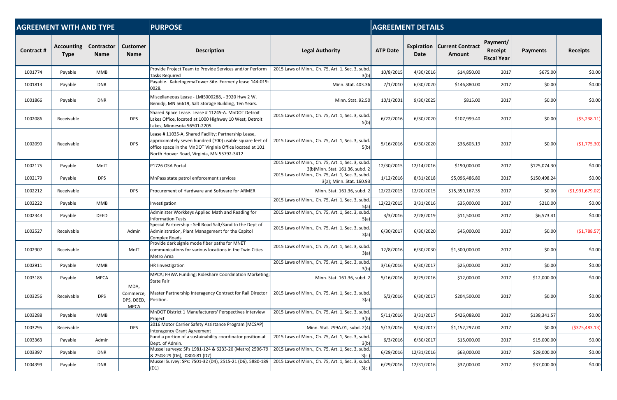| <b>AGREEMENT WITH AND TYPE</b> |                                  |                                  |                                                | <b>PURPOSE</b>                                                                                                                                                                                                            |                                                                                      |                 | <b>AGREEMENT DETAILS</b> |                                                       |                                           |                 |                   |
|--------------------------------|----------------------------------|----------------------------------|------------------------------------------------|---------------------------------------------------------------------------------------------------------------------------------------------------------------------------------------------------------------------------|--------------------------------------------------------------------------------------|-----------------|--------------------------|-------------------------------------------------------|-------------------------------------------|-----------------|-------------------|
| <b>Contract#</b>               | <b>Accounting</b><br><b>Type</b> | <b>Contractor</b><br><b>Name</b> | <b>Customer</b><br><b>Name</b>                 | <b>Description</b>                                                                                                                                                                                                        | <b>Legal Authority</b>                                                               | <b>ATP Date</b> | Date                     | <b>Expiration   Current Contract</b><br><b>Amount</b> | Payment/<br>Receipt<br><b>Fiscal Year</b> | <b>Payments</b> | <b>Receipts</b>   |
| 1001774                        | Payable                          | MMB                              |                                                | Provide Project Team to Provide Services and/or Perform<br>Tasks Required                                                                                                                                                 | 2015 Laws of Minn., Ch. 75, Art. 1, Sec. 3, subd.<br>3(b)                            | 10/8/2015       | 4/30/2016                | \$14,850.00                                           | 2017                                      | \$675.00        | \$0.00            |
| 1001813                        | Payable                          | <b>DNR</b>                       |                                                | Payable. KabetogemaTower Site. Formerly lease 144-019-<br>0028.                                                                                                                                                           | Minn. Stat. 403.36                                                                   | 7/1/2010        | 6/30/2020                | \$146,880.00                                          | 2017                                      | \$0.00          | \$0.00            |
| 1001866                        | Payable                          | <b>DNR</b>                       |                                                | Miscellaneous Lease - LMIS000288, - 3920 Hwy 2 W,<br>Bemidji, MN 56619, Salt Storage Building, Ten Years.                                                                                                                 | Minn. Stat. 92.50                                                                    | 10/1/2001       | 9/30/2025                | \$815.00                                              | 2017                                      | \$0.00          | \$0.00            |
| 1002086                        | Receivable                       |                                  | <b>DPS</b>                                     | Shared Space Lease. Lease # 11245-A. MnDOT Detroit<br>Lakes Office, located at 1000 Highway 10 West, Detroit<br>Lakes, Minnesota 56501-2205.                                                                              | 2015 Laws of Minn., Ch. 75, Art. 1, Sec. 3, subd.<br>5(b)                            | 6/22/2016       | 6/30/2020                | \$107,999.40                                          | 2017                                      | \$0.00          | (55, 238.11)      |
| 1002090                        | Receivable                       |                                  | <b>DPS</b>                                     | Lease # 11035-A, Shared Facility; Partnership Lease,<br>approximately seven hundred (700) usable square feet of<br>office space in the MnDOT Virginia Office located at 101<br>North Hoover Road, Virginia, MN 55792-3412 | 2015 Laws of Minn., Ch. 75, Art. 1, Sec. 3, subd.<br>5(b)                            | 5/16/2016       | 6/30/2020                | \$36,603.19                                           | 2017                                      | \$0.00          | (\$1,775.30)      |
| 1002175                        | Payable                          | MnIT                             |                                                | P1726 OSA Portal                                                                                                                                                                                                          | 2015 Laws of Minn., Ch. 75, Art. 1, Sec. 3, subd.<br>3(b)Minn. Stat. 161.36, subd. 2 | 12/30/2015      | 12/14/2016               | \$190,000.00                                          | 2017                                      | \$125,074.30    | \$0.00            |
| 1002179                        | Payable                          | <b>DPS</b>                       |                                                | MnPass state patrol enforcement services                                                                                                                                                                                  | 2015 Laws of Minn., Ch. 75, Art. 1, Sec. 3, subd.<br>3(a); Minn. Stat. 160.93        | 1/12/2016       | 8/31/2018                | \$5,096,486.80                                        | 2017                                      | \$150,498.24    | \$0.00            |
| 1002212                        | Receivable                       |                                  | <b>DPS</b>                                     | Procurement of Hardware and Software for ARMER                                                                                                                                                                            | Minn. Stat. 161.36, subd. 2                                                          | 12/22/2015      | 12/20/2015               | \$15,359,167.35                                       | 2017                                      | \$0.00          | ( \$1,991,679.02) |
| 1002222                        | Payable                          | MMB                              |                                                | Investigation                                                                                                                                                                                                             | 2015 Laws of Minn., Ch. 75, Art. 1, Sec. 3, subd.<br>5(a)                            | 12/22/2015      | 3/31/2016                | \$35,000.00                                           | 2017                                      | \$210.00        | \$0.00            |
| 1002343                        | Payable                          | <b>DEED</b>                      |                                                | Administer Workkeys Applied Math and Reading for<br><b>Information Tests</b>                                                                                                                                              | 2015 Laws of Minn., Ch. 75, Art. 1, Sec. 3, subd.<br>5(a)                            | 3/3/2016        | 2/28/2019                | \$11,500.00                                           | 2017                                      | \$6,573.41      | \$0.00            |
| 1002527                        | Receivable                       |                                  | Admin                                          | Special Partnership - Sell Road Salt/Sand to the Dept of<br>Administration, Plant Management for the Capitol<br><b>Complex Roads</b>                                                                                      | 2015 Laws of Minn., Ch. 75, Art. 1, Sec. 3, subd.<br>3(a)                            | 6/30/2017       | 6/30/2020                | \$45,000.00                                           | 2017                                      | \$0.00          | (51, 788.57)      |
| 1002907                        | Receivable                       |                                  | MnIT                                           | Provide dark signle mode fiber paths for MNET<br>communications for various locations in the Twin Cities<br>Metro Area                                                                                                    | 2015 Laws of Minn., Ch. 75, Art. 1, Sec. 3, subd<br>3(a)                             | 12/8/2016       | 6/30/2030                | \$1,500,000.00                                        | 2017                                      | \$0.00          | \$0.00            |
| 1002911                        | Payable                          | <b>MMB</b>                       |                                                | HR linvestigation                                                                                                                                                                                                         | 2015 Laws of Minn., Ch. 75, Art. 1, Sec. 3, subd                                     | 3/16/2016       | 6/30/2017                | \$25,000.00                                           | 2017                                      | \$0.00          | \$0.00            |
| 1003185                        | Payable                          | <b>MPCA</b>                      |                                                | MPCA; FHWA Funding; Rideshare Coordination Marketing;<br><b>State Fair</b>                                                                                                                                                | Minn. Stat. 161.36, subd. 2                                                          | 5/16/2016       | 8/25/2016                | \$12,000.00                                           | 2017                                      | \$12,000.00     | \$0.00            |
| 1003256                        | Receivable                       | <b>DPS</b>                       | MDA,<br>Commerce,<br>DPS, DEED,<br><b>MPCA</b> | Master Partnership Interagency Contract for Rail Director<br>Position.                                                                                                                                                    | 2015 Laws of Minn., Ch. 75, Art. 1, Sec. 3, subd.<br>3(a)                            | 5/2/2016        | 6/30/2017                | \$204,500.00                                          | 2017                                      | \$0.00          | \$0.00            |
| 1003288                        | Payable                          | MMB                              |                                                | MnDOT District 1 Manufacturers' Perspectives Interview<br>Project                                                                                                                                                         | 2015 Laws of Minn., Ch. 75, Art. 1, Sec. 3, subd.<br>3(b)                            | 5/11/2016       | 3/31/2017                | \$426,088.00                                          | 2017                                      | \$138,341.57    | \$0.00            |
| 1003295                        | Receivable                       |                                  | <b>DPS</b>                                     | 2016 Motor Carrier Safety Assistance Program (MCSAP)<br><b>Interagency Grant Agreement</b>                                                                                                                                | Minn. Stat. 299A.01, subd. 2(4)                                                      | 5/13/2016       | 9/30/2017                | \$1,152,297.00                                        | 2017                                      | \$0.00          | ( \$375,483.13)   |
| 1003363                        | Payable                          | Admin                            |                                                | Fund a portion of a sustainability coordinator position at<br>Dept. of Admin.                                                                                                                                             | 2015 Laws of Minn., Ch. 75, Art. 1, Sec. 3, subd.<br>3(b)                            | 6/3/2016        | 6/30/2017                | \$15,000.00                                           | 2017                                      | \$15,000.00     | \$0.00            |
| 1003397                        | Payable                          | <b>DNR</b>                       |                                                | Mussel surveys: SPs 1981-124 & 6233-20 (Metro) 2506-79<br>& 2508-29 (D6), 0804-81 (D7)                                                                                                                                    | 2015 Laws of Minn., Ch. 75, Art. 1, Sec. 3, subd.<br>3(c                             | 6/29/2016       | 12/31/2016               | \$63,000.00                                           | 2017                                      | \$29,000.00     | \$0.00            |
| 1004399                        | Payable                          | <b>DNR</b>                       |                                                | Mussel Survey: SPs: 7501-32 (D4), 2515-21 (D6), 5880-189   2015 Laws of Minn., Ch. 75, Art. 1, Sec. 3, subd.<br>(D1)                                                                                                      | 3(c)                                                                                 | 6/29/2016       | 12/31/2016               | \$37,000.00                                           | 2017                                      | \$37,000.00     | \$0.00            |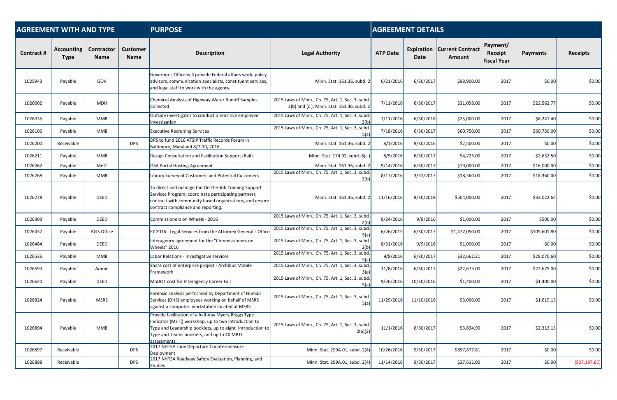| <b>AGREEMENT WITH AND TYPE</b> |                           |                           |                                | <b>PURPOSE</b><br><b>AGREEMENT DETAILS</b>                                                                                                                                                                                              |                                                                                                |                 |            |                                                       |                                           |                 |                 |  |  |
|--------------------------------|---------------------------|---------------------------|--------------------------------|-----------------------------------------------------------------------------------------------------------------------------------------------------------------------------------------------------------------------------------------|------------------------------------------------------------------------------------------------|-----------------|------------|-------------------------------------------------------|-------------------------------------------|-----------------|-----------------|--|--|
| <b>Contract #</b>              | Accounting<br><b>Type</b> | Contractor<br><b>Name</b> | <b>Customer</b><br><b>Name</b> | <b>Description</b>                                                                                                                                                                                                                      | <b>Legal Authority</b>                                                                         | <b>ATP Date</b> | Date       | <b>Expiration   Current Contract</b><br><b>Amount</b> | Payment/<br>Receipt<br><b>Fiscal Year</b> | <b>Payments</b> | <b>Receipts</b> |  |  |
| 1025943                        | Payable                   | GOV                       |                                | Governor's Office will provide Federal affairs work, policy<br>advisors, communication specialists, constituent services,<br>and legal staff to work with the agency.                                                                   | Minn. Stat. 161.36, subd. 2                                                                    | 6/21/2016       | 6/30/2017  | \$98,900.00                                           | 2017                                      | \$0.00          | \$0.00          |  |  |
| 1026002                        | Payable                   | <b>MDH</b>                |                                | Chemical Analysis of Highway Water Runoff Samples<br><b>Collected</b>                                                                                                                                                                   | 2015 Laws of Minn., Ch. 75, Art. 1, Sec. 3, subd.<br>3(b) and (c); Minn. Stat. 161.36, subd. 2 | 7/11/2016       | 6/30/2017  | \$31,058.00                                           | 2017                                      | \$22,562.77     | \$0.00          |  |  |
| 1026035                        | Payable                   | <b>MMB</b>                |                                | Outside investigator to conduct a sensitive employee<br>investigation                                                                                                                                                                   | 2015 Laws of Minn., Ch. 75, Art. 1, Sec. 3, subd.<br>3(b)                                      | 7/11/2016       | 6/30/2018  | \$25,000.00                                           | 2017                                      | \$6,241.40      | \$0.00          |  |  |
| 1026106                        | Payable                   | <b>MMB</b>                |                                | <b>Executive Recruiting Services</b>                                                                                                                                                                                                    | 2015 Laws of Minn., Ch. 75, Art. 1, Sec. 3, subd.<br>5(a)                                      | 7/18/2016       | 6/30/2017  | \$60,750.00                                           | 2017                                      | \$60,750.00     | \$0.00          |  |  |
| 1026200                        | Receivable                |                           | <b>DPS</b>                     | DPS to fund 2016 ATSIP Traffic Records Forum in<br>Baltimore, Maryland 8/7-10, 2016                                                                                                                                                     | Minn. Stat. 161.36, subd. 2                                                                    | 8/1/2016        | 9/30/2016  | \$2,500.00                                            | 2017                                      | \$0.00          | \$0.00          |  |  |
| 1026211                        | Payable                   | <b>MMB</b>                |                                | Design Consultation and Facilitation Support (Rail)                                                                                                                                                                                     | Minn. Stat. 174.02, subd. 6(c)                                                                 | 8/5/2016        | 6/30/2017  | \$4,725.00                                            | 2017                                      | \$2,632.50      | \$0.00          |  |  |
| 1026262                        | Payable                   | MnIT                      |                                | OSA Portal Hosting Agreement                                                                                                                                                                                                            | Minn. Stat. 161.36, subd. 2                                                                    | 9/14/2016       | 6/30/2017  | \$79,000.00                                           | 2017                                      | \$16,000.00     | \$0.00          |  |  |
| 1026268                        | Payable                   | MMB                       |                                | Library Survey of Customers and Potential Customers                                                                                                                                                                                     | 2015 Laws of Minn., Ch. 75, Art. 1, Sec. 3, subd.<br>3(b)                                      | 8/17/2016       | 3/31/2017  | \$18,360.00                                           | 2017                                      | \$18,360.00     | \$0.00          |  |  |
| 1026278                        | Payable                   | <b>DEED</b>               |                                | To direct and manage the On-the-Job Training Support<br>Services Program, coordinate participating partners,<br>contract with community based organizations, and ensure<br>contract compliance and reporting.                           | Minn. Stat. 161.36, subd. 2                                                                    | 11/16/2016      | 9/30/2019  | \$504,000.00                                          | 2017                                      | \$33,022.64     | \$0.00          |  |  |
| 1026303                        | Payable                   | <b>DEED</b>               |                                | Commissioners on Wheels - 2016                                                                                                                                                                                                          | 2015 Laws of Minn., Ch. 75, Art. 1, Sec. 3, subd.<br>2(b)                                      | 8/24/2016       | 9/9/2016   | \$1,000.00                                            | 2017                                      | \$500.00        | \$0.00          |  |  |
| 1026437                        | Payable                   | AG's Office               |                                | FY 2016. Legal Services from the Attorney General's Office                                                                                                                                                                              | 2015 Laws of Minn., Ch. 75, Art. 1, Sec. 3, subd.<br>5(a)                                      | 6/26/2015       | 6/30/2017  | \$1,477,050.00                                        | 2017                                      | \$105,601.80    | \$0.00          |  |  |
| 1026484                        | Payable                   | <b>DEED</b>               |                                | Interagency agreement for the "Commissioners on<br>Wheels" 2016                                                                                                                                                                         | 2015 Laws of Minn., Ch. 75, Art. 1, Sec. 3, subd.<br>2(b)                                      | 8/31/2016       | 9/9/2016   | \$1,000.00                                            | 2017                                      | \$0.00          | \$0.00          |  |  |
| 1026536                        | Payable                   | <b>MMB</b>                |                                | Labor Relations - Investigative services                                                                                                                                                                                                | 2015 Laws of Minn., Ch. 75, Art. 1, Sec. 3, subd.<br>5(a)                                      | 9/8/2016        | 6/30/2017  | \$32,662.21                                           | 2017                                      | \$28,070.60     | \$0.00          |  |  |
| 1026593                        | Payable                   | Admin                     |                                | Share cost of enterprise project - Archibus Mobile<br>Framework                                                                                                                                                                         | 2015 Laws of Minn., Ch. 75, Art. 1, Sec. 3, subd.<br>3(a)                                      | 11/8/2016       | 6/30/2017  | \$22,675.00                                           | 2017                                      | \$22,675.00     | \$0.00          |  |  |
| 1026640                        | Payable                   | <b>DEED</b>               |                                | MnDOT cost for Interagency Career Fair                                                                                                                                                                                                  | 2015 Laws of Minn., Ch. 75, Art. 1, Sec. 3, subd.<br>5(a)                                      | 9/26/2016       | 10/30/2016 | \$1,400.00                                            | 2017                                      | \$1,400.00      | \$0.00          |  |  |
| 1026824                        | Payable                   | <b>MSRS</b>               |                                | Forensic analysis performed by Department of Human<br>Services (DHS) employees working on behalf of MSRS<br>against a computer workstation located at MSRS                                                                              | 2015 Laws of Minn., Ch. 75, Art. 1, Sec. 3, subd.<br>5(a)                                      | 11/29/2016      | 11/10/2016 | \$3,000.00                                            | 2017                                      | \$1,619.13      | \$0.00          |  |  |
| 1026894                        | Payable                   | MMB                       |                                | Provide facilitation of a half-day Myers-Briggs Type<br>Indicator (MET[) workshop, up to two Introduction to<br>Type and Leadership booklets, up to eight Introduction to<br>Type and Teams booklets, and up to 40 MBTI<br>assessments. | 2015 Laws of Minn., Ch. 75, Art. 1, Sec. 3, subd.<br>2(a)(2)                                   | 11/1/2016       | 6/30/2017  | \$3,834.90                                            | 2017                                      | \$2,312.13      | \$0.00          |  |  |
| 1026897                        | Receivable                |                           | <b>DPS</b>                     | 2017 NHTSA Lane Departure Countermeasure<br>Deployment                                                                                                                                                                                  | Minn. Stat. 299A.01, subd. 2(4)                                                                | 10/26/2016      | 9/30/2017  | \$897,877.81                                          | 2017                                      | \$0.00          | \$0.00          |  |  |
| 1026898                        | Receivable                |                           | <b>DPS</b>                     | 2017 NHTSA Roadway Safety Evaluation, Planning, and<br>Studies                                                                                                                                                                          | Minn. Stat. 299A.01, subd. 2(4)                                                                | 11/14/2016      | 9/30/2017  | \$27,611.00                                           | 2017                                      | \$0.00          | (527, 197.85)   |  |  |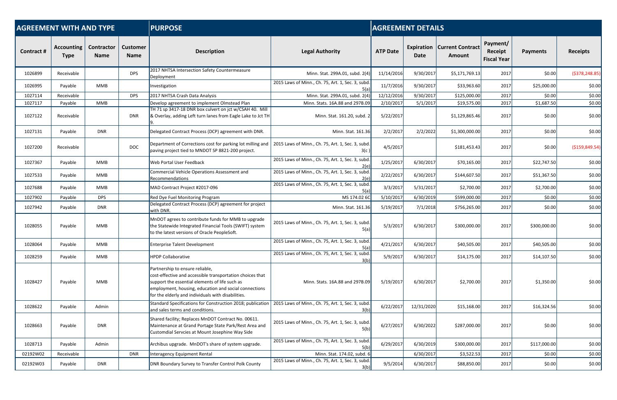| <b>AGREEMENT WITH AND TYPE</b> |                                  |                                  |                                | <b>PURPOSE</b>                                                                                                                                                                                                                                                |                                                           | <b>AGREEMENT DETAILS</b> |            |                                                       |                                           |                 |                  |  |  |
|--------------------------------|----------------------------------|----------------------------------|--------------------------------|---------------------------------------------------------------------------------------------------------------------------------------------------------------------------------------------------------------------------------------------------------------|-----------------------------------------------------------|--------------------------|------------|-------------------------------------------------------|-------------------------------------------|-----------------|------------------|--|--|
| <b>Contract#</b>               | <b>Accounting</b><br><b>Type</b> | <b>Contractor</b><br><b>Name</b> | <b>Customer</b><br><b>Name</b> | <b>Description</b>                                                                                                                                                                                                                                            | <b>Legal Authority</b>                                    | <b>ATP Date</b>          | Date       | <b>Expiration   Current Contract</b><br><b>Amount</b> | Payment/<br>Receipt<br><b>Fiscal Year</b> | <b>Payments</b> | <b>Receipts</b>  |  |  |
| 1026899                        | Receivable                       |                                  | <b>DPS</b>                     | 2017 NHTSA Intersection Safety Countermeasure<br>Deployment                                                                                                                                                                                                   | Minn. Stat. 299A.01, subd. 2(4)                           | 11/14/2016               | 9/30/2017  | \$5,171,769.13                                        | 2017                                      | \$0.00          | ( \$378, 248.85) |  |  |
| 1026995                        | Payable                          | MMB                              |                                | Investigation                                                                                                                                                                                                                                                 | 2015 Laws of Minn., Ch. 75, Art. 1, Sec. 3, subd.<br>5(a) | 11/7/2016                | 9/30/2017  | \$33,963.60                                           | 2017                                      | \$25,000.00     | \$0.00           |  |  |
| 1027114                        | Receivable                       |                                  | <b>DPS</b>                     | 2017 NHTSA Crash Data Analysis                                                                                                                                                                                                                                | Minn. Stat. 299A.01, subd. 2(4)                           | 12/12/2016               | 9/30/2017  | \$125,000.00                                          | 2017                                      | \$0.00          | \$0.00           |  |  |
| 1027117                        | Payable                          | <b>MMB</b>                       |                                | Develop agreement to implement Olmstead Plan                                                                                                                                                                                                                  | Minn. Stats. 16A.88 and 297B.09                           | 2/10/2017                | 5/1/2017   | \$19,575.00                                           | 2017                                      | \$1,687.50      | \$0.00           |  |  |
| 1027122                        | Receivable                       |                                  | <b>DNR</b>                     | TH 71 sp 3417-18 DNR box culvert on jct w/CSAH 40. Mill<br>& Overlay, adding Left turn lanes from Eagle Lake to Jct TH                                                                                                                                        | Minn. Stat. 161.20, subd. 2                               | 5/22/2017                |            | \$1,129,865.46                                        | 2017                                      | \$0.00          | \$0.00           |  |  |
| 1027131                        | Payable                          | <b>DNR</b>                       |                                | Delegated Contract Process (DCP) agreement with DNR.                                                                                                                                                                                                          | Minn. Stat. 161.36                                        | 2/2/2017                 | 2/2/2022   | \$1,300,000.00                                        | 2017                                      | \$0.00          | \$0.00           |  |  |
| 1027200                        | Receivable                       |                                  | <b>DOC</b>                     | Department of Corrections cost for parking lot milling and<br>paving project tied to MNDOT SP 8821-200 project.                                                                                                                                               | 2015 Laws of Minn., Ch. 75, Art. 1, Sec. 3, subd.<br>3(c) | 4/5/2017                 |            | \$181,453.43                                          | 2017                                      | \$0.00          | ( \$159, 849.54) |  |  |
| 1027367                        | Payable                          | <b>MMB</b>                       |                                | Web Portal User Feedback                                                                                                                                                                                                                                      | 2015 Laws of Minn., Ch. 75, Art. 1, Sec. 3, subd.<br>2(e) | 1/25/2017                | 6/30/2017  | \$70,165.00                                           | 2017                                      | \$22,747.50     | \$0.00           |  |  |
| 1027533                        | Payable                          | <b>MMB</b>                       |                                | Commercial Vehicle Operations Assessment and<br>Recommendations                                                                                                                                                                                               | 2015 Laws of Minn., Ch. 75, Art. 1, Sec. 3, subd.<br>2(e) | 2/22/2017                | 6/30/2017  | \$144,607.50                                          | 2017                                      | \$51,367.50     | \$0.00           |  |  |
| 1027688                        | Payable                          | <b>MMB</b>                       |                                | MAD Contract Project #2017-096                                                                                                                                                                                                                                | 2015 Laws of Minn., Ch. 75, Art. 1, Sec. 3, subd.<br>5(a) | 3/3/2017                 | 5/31/2017  | \$2,700.00                                            | 2017                                      | \$2,700.00      | \$0.00           |  |  |
| 1027902                        | Payable                          | <b>DPS</b>                       |                                | Red Dye Fuel Monitoring Program                                                                                                                                                                                                                               | MS 174.02 60                                              | 5/10/2017                | 6/30/2019  | \$599,000.00                                          | 2017                                      | \$0.00          | \$0.00           |  |  |
| 1027942                        | Payable                          | <b>DNR</b>                       |                                | Delegated Contract Process (DCP) agreement for project<br>with DNR.                                                                                                                                                                                           | Minn. Stat. 161.36                                        | 5/19/2017                | 7/1/2018   | \$756,265.00                                          | 2017                                      | \$0.00          | \$0.00           |  |  |
| 1028055                        | Payable                          | MMB                              |                                | MnDOT agrees to contribute funds for MMB to upgrade<br>the Statewide Integrated Financial Tools (SWIFT) system<br>to the latest versions of Oracle PeopleSoft.                                                                                                | 2015 Laws of Minn., Ch. 75, Art. 1, Sec. 3, subd.<br>5(a) | 5/3/2017                 | 6/30/2017  | \$300,000.00                                          | 2017                                      | \$300,000.00    | \$0.00           |  |  |
| 1028064                        | Payable                          | MMB                              |                                | <b>Enterprise Talent Development</b>                                                                                                                                                                                                                          | 2015 Laws of Minn., Ch. 75, Art. 1, Sec. 3, subd.<br>5(a) | 4/21/2017                | 6/30/2017  | \$40,505.00                                           | 2017                                      | \$40,505.00     | \$0.00           |  |  |
| 1028259                        | Payable                          | <b>MMB</b>                       |                                | <b>HPDP Collaborative</b>                                                                                                                                                                                                                                     | 2015 Laws of Minn., Ch. 75, Art. 1, Sec. 3, subd.<br>3(b) | 5/9/2017                 | 6/30/2017  | \$14,175.00                                           | 2017                                      | \$14,107.50     | \$0.00           |  |  |
| 1028427                        | Payable                          | <b>MMB</b>                       |                                | Partnership to ensure reliable,<br>cost-effective and accessible transportation choices that<br>support the essential elements of life such as<br>employment, housing, education and social connections<br>for the elderly and individuals with disabilities. | Minn. Stats. 16A.88 and 297B.09                           | 5/19/2017                | 6/30/2017  | \$2,700.00                                            | 2017                                      | \$1,350.00      | \$0.00           |  |  |
| 1028622                        | Payable                          | Admin                            |                                | Standard Specifications for Construction 2018; publication<br>and sales terms and conditions.                                                                                                                                                                 | 2015 Laws of Minn., Ch. 75, Art. 1, Sec. 3, subd.<br>3(b) | 6/22/2017                | 12/31/2020 | \$15,168.00                                           | 2017                                      | \$16,324.56     | \$0.00           |  |  |
| 1028663                        | Payable                          | <b>DNR</b>                       |                                | Shared facility; Replaces MnDOT Contract No. 00611.<br>Maintenance at Grand Portage State Park/Rest Area and<br>Customdial Servcies at Mount Josephine Way Side                                                                                               | 2015 Laws of Minn., Ch. 75, Art. 1, Sec. 3, subd.<br>5(b) | 6/27/2017                | 6/30/2022  | \$287,000.00                                          | 2017                                      | \$0.00          | \$0.00           |  |  |
| 1028713                        | Payable                          | Admin                            |                                | Archibus upgrade. MnDOT's share of system upgrade.                                                                                                                                                                                                            | 2015 Laws of Minn., Ch. 75, Art. 1, Sec. 3, subd.<br>5(b) | 6/29/2017                | 6/30/2019  | \$300,000.00                                          | 2017                                      | \$117,000.00    | \$0.00           |  |  |
| 02192W02                       | Receivable                       |                                  | <b>DNR</b>                     | Interagency Equipment Rental                                                                                                                                                                                                                                  | Minn. Stat. 174.02, subd. 6                               |                          | 6/30/2017  | \$3,522.53                                            | 2017                                      | \$0.00          | \$0.00           |  |  |
| 02192W03                       | Payable                          | <b>DNR</b>                       |                                | DNR Boundary Survey to Transfer Control Polk County                                                                                                                                                                                                           | 2015 Laws of Minn., Ch. 75, Art. 1, Sec. 3, subd.<br>3(b) | 9/5/2014                 | 6/30/2017  | \$88,850.00                                           | 2017                                      | \$0.00          | \$0.00           |  |  |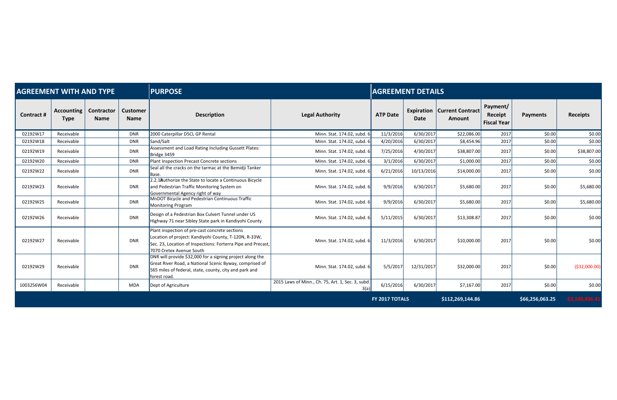| <b>AGREEMENT WITH AND TYPE</b> |                                  |                           |                                | <b>PURPOSE</b>                                                                                                                                                                                      |                                                           | <b>AGREEMENT DETAILS</b> |            |                                                       |                                           |                 |                  |
|--------------------------------|----------------------------------|---------------------------|--------------------------------|-----------------------------------------------------------------------------------------------------------------------------------------------------------------------------------------------------|-----------------------------------------------------------|--------------------------|------------|-------------------------------------------------------|-------------------------------------------|-----------------|------------------|
| <b>Contract#</b>               | <b>Accounting</b><br><b>Type</b> | Contractor<br><b>Name</b> | <b>Customer</b><br><b>Name</b> | <b>Description</b>                                                                                                                                                                                  | <b>Legal Authority</b>                                    | <b>ATP Date</b>          | Date       | <b>Expiration   Current Contract</b><br><b>Amount</b> | Payment/<br>Receipt<br><b>Fiscal Year</b> | <b>Payments</b> | <b>Receipts</b>  |
| 02192W17                       | Receivable                       |                           | <b>DNR</b>                     | 2000 Caterpillar D5CL GP Rental                                                                                                                                                                     | Minn. Stat. 174.02, subd. 6                               | 11/3/2016                | 6/30/2017  | \$22,086.00                                           | 2017                                      | \$0.00          | \$0.00           |
| 02192W18                       | Receivable                       |                           | <b>DNR</b>                     | Sand/Salt                                                                                                                                                                                           | Minn. Stat. 174.02, subd. 6                               | 4/20/2016                | 6/30/2017  | \$8,454.96                                            | 2017                                      | \$0.00          | \$0.00           |
| 02192W19                       | Receivable                       |                           | <b>DNR</b>                     | Assessment and Load Rating Including Gussett Plates:<br>Bridge 3459                                                                                                                                 | Minn. Stat. 174.02, subd. 6                               | 7/25/2016                | 4/30/2017  | \$38,807.00                                           | 2017                                      | \$0.00          | \$38,807.00      |
| 02192W20                       | Receivable                       |                           | <b>DNR</b>                     | Plant Inspection Precast Concrete sections                                                                                                                                                          | Minn. Stat. 174.02, subd. 6                               | 3/1/2016                 | 6/30/2017  | \$1,000.00                                            | 2017                                      | \$0.00          | \$0.00           |
| 02192W22                       | Receivable                       |                           | <b>DNR</b>                     | Seal all the cracks on the tarmac at the Bemidji Tanker<br>Base.                                                                                                                                    | Minn. Stat. 174.02, subd. 6                               | 6/21/2016                | 10/13/2016 | \$14,000.00                                           | 2017                                      | \$0.00          | \$0.00           |
| 02192W23                       | Receivable                       |                           | <b>DNR</b>                     | 2.2.1 Authorize the State to locate a Continuous Bicycle<br>and Pedestrian Traffic Monitoring System on<br>Governmental Agency right of way                                                         | Minn. Stat. 174.02, subd. 6                               | 9/9/2016                 | 6/30/2017  | \$5,680.00                                            | 2017                                      | \$0.00          | \$5,680.00       |
| 02192W25                       | Receivable                       |                           | <b>DNR</b>                     | MnDOT Bicycle and Pedestrian Continuous Traffic<br><b>Monitoring Program</b>                                                                                                                        | Minn. Stat. 174.02, subd. 6                               | 9/9/2016                 | 6/30/2017  | \$5,680.00                                            | 2017                                      | \$0.00          | \$5,680.00       |
| 02192W26                       | Receivable                       |                           | <b>DNR</b>                     | Design of a Pedestrian Box Culvert Tunnel under US<br>Highway 71 near Sibley State park in Kandiyohi County                                                                                         | Minn. Stat. 174.02, subd. 6                               | 5/11/2015                | 6/30/2017  | \$13,308.87                                           | 2017                                      | \$0.00          | \$0.00           |
| 02192W27                       | Receivable                       |                           | <b>DNR</b>                     | Plant inspection of pre-cast concrete sections<br>Location of project: Kandiyohi County, T-120N, R-33W,<br>Sec. 23, Location of Inspections: Forterra Pipe and Precast,<br>7070 Cretex Avenue South | Minn. Stat. 174.02, subd. 6                               | 11/3/2016                | 6/30/2017  | \$10,000.00                                           | 2017                                      | \$0.00          | \$0.00           |
| 02192W29                       | Receivable                       |                           | <b>DNR</b>                     | DNR will provide \$32,000 for a signing project along the<br>Great River Road, a National Scenic Byway, comprised of<br>565 miles of federal, state, county, city and park and<br>forest road.      | Minn. Stat. 174.02, subd. 6                               | 5/5/2017                 | 12/31/2017 | \$32,000.00                                           | 2017                                      | \$0.00          | ( \$32,000.00]   |
| 1003256W04                     | Receivable                       |                           | <b>MDA</b>                     | Dept of Agriculture                                                                                                                                                                                 | 2015 Laws of Minn., Ch. 75, Art. 1, Sec. 3, subd.<br>3(a) | 6/15/2016                | 6/30/2017  | \$7,167.00                                            | 2017                                      | \$0.00          | \$0.00           |
|                                |                                  |                           |                                |                                                                                                                                                                                                     |                                                           | <b>FY 2017 TOTALS</b>    |            | \$112,269,144.86                                      |                                           | \$66,256,063.25 | $-53,140,436.41$ |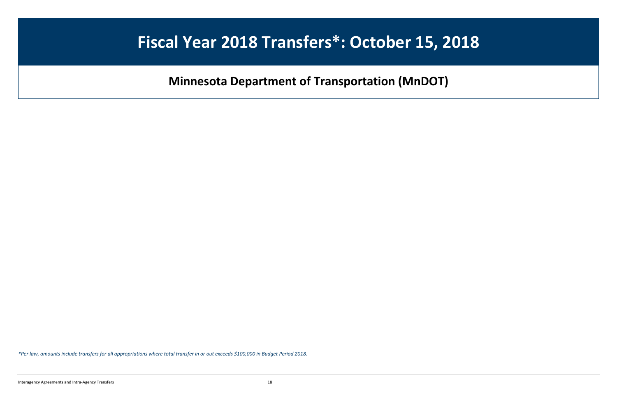## **Fiscal Year 2018 Transfers\*: October 15, 2018**

**Minnesota Department of Transportation (MnDOT)** 

*\*Per law, amounts include transfers for all appropriations where total transfer in or out exceeds \$100,000 in Budget Period 2018.* 

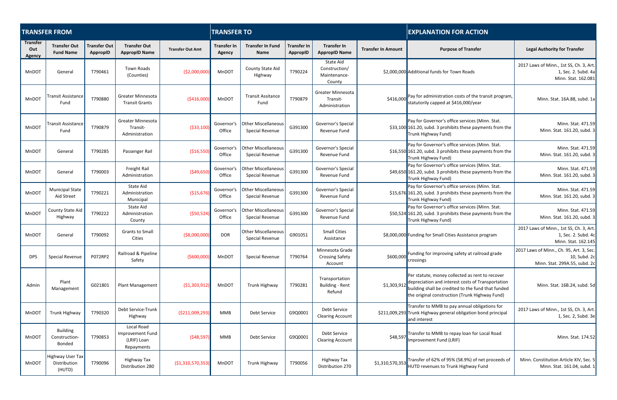|                                         | <b>TRANSFER FROM</b>                       |                                        |                                                             |                         | <b>TRANSFER TO</b>           |                                               |                                |                                                        |                           | <b>EXPLANATION FOR ACTION</b>                                                                                                                                                                                |                                                                                           |  |  |
|-----------------------------------------|--------------------------------------------|----------------------------------------|-------------------------------------------------------------|-------------------------|------------------------------|-----------------------------------------------|--------------------------------|--------------------------------------------------------|---------------------------|--------------------------------------------------------------------------------------------------------------------------------------------------------------------------------------------------------------|-------------------------------------------------------------------------------------------|--|--|
| <b>Transfer</b><br>Out<br><b>Agency</b> | <b>Transfer Out</b><br><b>Fund Name</b>    | <b>Transfer Out</b><br><b>AppropID</b> | <b>Transfer Out</b><br><b>AppropID Name</b>                 | <b>Transfer Out Amt</b> | <b>Transfer In</b><br>Agency | <b>Transfer In Fund</b><br>Name               | <b>Transfer In</b><br>AppropID | <b>Transfer In</b><br><b>AppropID Name</b>             | <b>Transfer In Amount</b> | <b>Purpose of Transfer</b>                                                                                                                                                                                   | <b>Legal Authority for Transfer</b>                                                       |  |  |
| MnDOT                                   | General                                    | T790461                                | Town Roads<br>(Counties)                                    | ( \$2,000,000           | MnDOT                        | County State Aid<br>Highway                   | T790224                        | State Aid<br>Construction/<br>Maintenance-<br>County   |                           | \$2,000,000 Additional funds for Town Roads                                                                                                                                                                  | 2017 Laws of Minn., 1st SS, Ch. 3, Art.<br>1, Sec. 2. Subd. 4a<br>Minn. Stat. 162.081     |  |  |
| MnDOT                                   | <b>Transit Assistance</b><br>Fund          | T790880                                | Greater Minnesota<br><b>Transit Grants</b>                  | ( \$416,000             | MnDOT                        | <b>Transit Assitance</b><br>Fund              | T790879                        | <b>Greater Minnesota</b><br>Transit-<br>Administration | \$416,000                 | Pay for administration costs of the transit program,<br>statutorily capped at \$416,000/year                                                                                                                 | Minn. Stat. 16A.88, subd. 1a                                                              |  |  |
| MnDOT                                   | <b>Transit Assistance</b><br>Fund          | T790879                                | <b>Greater Minnesota</b><br>Transit-<br>Administration      | ( \$33, 100)            | Governor's<br>Office         | <b>Other Miscellaneous</b><br>Special Revenue | G391300                        | Governor's Special<br>Revenue Fund                     |                           | Pay for Governor's office services (Minn. Stat.<br>\$33,100 161.20, subd. 3 prohibits these payments from the<br>Trunk Highway Fund)                                                                         | Minn. Stat. 471.59<br>Minn. Stat. 161.20, subd. 3                                         |  |  |
| MnDOT                                   | General                                    | T790285                                | Passenger Rail                                              | ( \$16,550)             | Governor's<br>Office         | <b>Other Miscellaneous</b><br>Special Revenue | G391300                        | Governor's Special<br>Revenue Fund                     |                           | Pay for Governor's office services (Minn. Stat.<br>\$16,550 161.20, subd. 3 prohibits these payments from the<br>Trunk Highway Fund)                                                                         | Minn. Stat. 471.59<br>Minn. Stat. 161.20, subd. 3                                         |  |  |
| MnDOT                                   | General                                    | T790003                                | Freight Rail<br>Administration                              | ( \$49, 650]            | Governor's<br>Office         | <b>Other Miscellaneous</b><br>Special Revenue | G391300                        | Governor's Special<br>Revenue Fund                     |                           | Pay for Governor's office services (Minn. Stat.<br>\$49,650 161.20, subd. 3 prohibits these payments from the<br>Trunk Highway Fund)                                                                         | Minn. Stat. 471.59<br>Minn. Stat. 161.20, subd. 3                                         |  |  |
| MnDOT                                   | <b>Municipal State</b><br>Aid Street       | T790221                                | State Aid<br>Administration<br>Municipal                    | ( \$15,676)             | Governor's<br>Office         | <b>Other Miscellaneous</b><br>Special Revenue | G391300                        | Governor's Special<br>Revenue Fund                     |                           | Pay for Governor's office services (Minn. Stat.<br>\$15,676 161.20, subd. 3 prohibits these payments from the<br>Trunk Highway Fund)                                                                         | Minn. Stat. 471.59<br>Minn. Stat. 161.20, subd. 3                                         |  |  |
| MnDOT                                   | County State Aid<br>Highway                | T790222                                | State Aid<br>Administration<br>County                       | ( \$50,524              | Governor's<br>Office         | Other Miscellaneous<br>Special Revenue        | G391300                        | Governor's Special<br>Revenue Fund                     |                           | Pay for Governor's office services (Minn. Stat.<br>\$50,524 161.20, subd. 3 prohibits these payments from the<br>Trunk Highway Fund)                                                                         | Minn. Stat. 471.59<br>Minn. Stat. 161.20, subd. 3                                         |  |  |
| MnDOT                                   | General                                    | T790092                                | <b>Grants to Small</b><br>Cities                            | ( \$8,000,000           | <b>DOR</b>                   | <b>Other Miscellaneous</b><br>Special Revenue | G901051                        | <b>Small Cities</b><br>Assistance                      |                           | \$8,000,000 Funding for Small Cities Assistance program                                                                                                                                                      | 2017 Laws of Minn., 1st SS, Ch. 3, Art.<br>1, Sec. 2. Subd. 4c<br>Minn. Stat. 162.145     |  |  |
| <b>DPS</b>                              | Special Revenue                            | P072RP2                                | Railroad & Pipeline<br>Safety                               | ( \$600,000             | MnDOT                        | Special Revenue                               | T790764                        | Minnesota Grade<br><b>Crossing Safety</b><br>Account   | \$600,000                 | Funding for improving safety at railroad grade<br>crossings                                                                                                                                                  | 2017 Laws of Minn., Ch. 95, Art. 3, Sec.<br>10, Subd. 2c<br>Minn. Stat. 299A.55, subd. 2c |  |  |
| Admin                                   | Plant<br>Management                        | G021801                                | Plant Management                                            | (51,303,912)            | MnDOT                        | Trunk Highway                                 | T790281                        | Transportation<br><b>Building - Rent</b><br>Refund     | \$1,303,912               | Per statute, money collected as rent to recover<br>depreciation and interest costs of Transportation<br>building shall be credited to the fund that funded<br>the original construction (Trunk Highway Fund) | Minn. Stat. 16B.24, subd. 5d                                                              |  |  |
| MnDOT                                   | Trunk Highway                              | T790320                                | Debt Service-Trunk<br>Highway                               | (\$211,009,293          | MMB                          | Debt Service                                  | G9Q0001                        | Debt Service<br><b>Clearing Account</b>                |                           | Transfer to MMB to pay annual obligations for<br>\$211,009,293 Trunk Highway general obligation bond principal<br>and interest                                                                               | 2017 Laws of Minn., 1st SS, Ch. 3, Art.<br>1, Sec. 2, Subd. 3e                            |  |  |
| MnDOT                                   | <b>Building</b><br>Construction-<br>Bonded | T790853                                | Local Road<br>Improvement Fund<br>(LRIF) Loan<br>Repayments | (548, 597)              | <b>MMB</b>                   | Debt Service                                  | G9Q0001                        | Debt Service<br><b>Clearing Account</b>                | \$48,597                  | Transfer to MMB to repay loan for Local Road<br>Improvement Fund (LRIF)                                                                                                                                      | Minn. Stat. 174.52                                                                        |  |  |
| MnDOT                                   | Highway User Tax<br>Distribution<br>(HUTD) | T790096                                | Highway Tax<br>Distribution 280                             | ( \$1,310,570,353       | MnDOT                        | Trunk Highway                                 | T790056                        | Highway Tax<br>Distribution 270                        | \$1,310,570,353           | Transfer of 62% of 95% (58.9%) of net proceeds of<br>HUTD revenues to Trunk Highway Fund                                                                                                                     | Minn. Constitution Article XIV, Sec. 5<br>Minn. Stat. 161.04, subd. 1                     |  |  |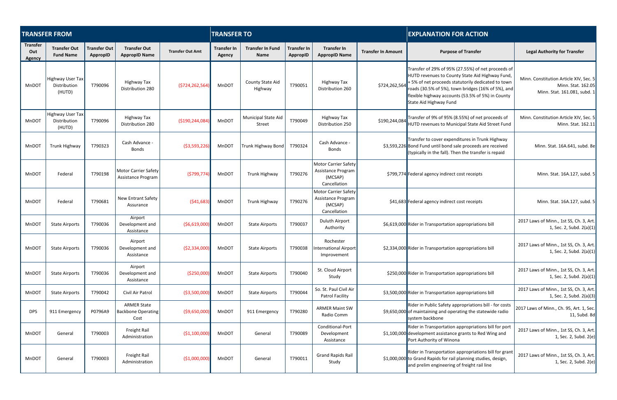|                                  | <b>TRANSFER FROM</b>                       |                                 |                                                         |                         | <b>TRANSFER TO</b>                  |                                        |                                       |                                                                              |                           | <b>EXPLANATION FOR ACTION</b>                                                                                                                                                                                                                                                                   |                                                                                              |  |
|----------------------------------|--------------------------------------------|---------------------------------|---------------------------------------------------------|-------------------------|-------------------------------------|----------------------------------------|---------------------------------------|------------------------------------------------------------------------------|---------------------------|-------------------------------------------------------------------------------------------------------------------------------------------------------------------------------------------------------------------------------------------------------------------------------------------------|----------------------------------------------------------------------------------------------|--|
| <b>Transfer</b><br>Out<br>Agency | <b>Transfer Out</b><br><b>Fund Name</b>    | <b>Transfer Out</b><br>AppropID | <b>Transfer Out</b><br><b>AppropID Name</b>             | <b>Transfer Out Amt</b> | <b>Transfer In</b><br><b>Agency</b> | <b>Transfer In Fund</b><br><b>Name</b> | <b>Transfer In</b><br><b>AppropID</b> | <b>Transfer In</b><br><b>AppropID Name</b>                                   | <b>Transfer In Amount</b> | <b>Purpose of Transfer</b>                                                                                                                                                                                                                                                                      | <b>Legal Authority for Transfer</b>                                                          |  |
| <b>MnDOT</b>                     | Highway User Tax<br>Distribution<br>(HUTD) | T790096                         | Highway Tax<br>Distribution 280                         | (\$724,262,564)         | MnDOT                               | County State Aid<br>Highway            | T790051                               | Highway Tax<br>Distribution 260                                              | \$724,262,564             | Transfer of 29% of 95% (27.55%) of net proceeds of<br>HUTD revenues to County State Aid Highway Fund,<br>+5% of net proceeds statutorily dedicated to town<br>roads (30.5% of 5%), town bridges (16% of 5%), and<br>flexible highway accounts (53.5% of 5%) in County<br>State Aid Highway Fund | Minn. Constitution Article XIV, Sec. 5<br>Minn. Stat. 162.05<br>Minn. Stat. 161.081, subd. 1 |  |
| MnDOT                            | Highway User Tax<br>Distribution<br>(HUTD) | T790096                         | Highway Tax<br>Distribution 280                         | (\$190,244,084          | MnDOT                               | Municipal State Aid<br>Street          | T790049                               | Highway Tax<br>Distribution 250                                              | \$190,244,084             | Transfer of 9% of 95% (8.55%) of net proceeds of<br>HUTD revenues to Municipal State Aid Street Fund                                                                                                                                                                                            | Minn. Constitution Article XIV, Sec. 5<br>Minn. Stat. 162.11                                 |  |
| <b>MnDOT</b>                     | Trunk Highway                              | T790323                         | Cash Advance -<br><b>Bonds</b>                          | ( \$3,593,226)          | MnDOT                               | <b>Trunk Highway Bond</b>              | T790324                               | Cash Advance -<br><b>Bonds</b>                                               |                           | Transfer to cover expenditures in Trunk Highway<br>\$3,593,226 Bond Fund until bond sale proceeds are received<br>(typically in the fall). Then the transfer is repaid                                                                                                                          | Minn. Stat. 16A.641, subd. 8e                                                                |  |
| <b>MnDOT</b>                     | Federal                                    | T790198                         | Motor Carrier Safety<br>Assistance Program              | (5799, 774)             | MnDOT                               | Trunk Highway                          | T790276                               | Motor Carrier Safety<br>Assistance Program<br>(MCSAP)<br>Cancellation        |                           | \$799,774 Federal agency indirect cost receipts                                                                                                                                                                                                                                                 | Minn. Stat. 16A.127, subd. 5                                                                 |  |
| MnDOT                            | Federal                                    | T790681                         | New Entrant Safety<br>Assurance                         | (541, 683)              | MnDOT                               | Trunk Highway                          | T790276                               | <b>Motor Carrier Safety</b><br>Assistance Program<br>(MCSAP)<br>Cancellation |                           | \$41,683 Federal agency indirect cost receipts                                                                                                                                                                                                                                                  | Minn. Stat. 16A.127, subd. 5                                                                 |  |
| MnDOT                            | <b>State Airports</b>                      | T790036                         | Airport<br>Development and<br>Assistance                | ( \$6,619,000]          | MnDOT                               | <b>State Airports</b>                  | T790037                               | Duluth Airport<br>Authority                                                  |                           | \$6,619,000 Rider in Transportation appropriations bill                                                                                                                                                                                                                                         | 2017 Laws of Minn., 1st SS, Ch. 3, Art.<br>1, Sec. 2, Subd. $2(a)(1)$                        |  |
| MnDOT                            | <b>State Airports</b>                      | T790036                         | Airport<br>Development and<br>Assistance                | ( \$2,334,000]          | MnDOT                               | <b>State Airports</b>                  | T790038                               | Rochester<br>International Airport<br>Improvement                            |                           | \$2,334,000 Rider in Transportation appropriations bill                                                                                                                                                                                                                                         | 2017 Laws of Minn., 1st SS, Ch. 3, Art.<br>1, Sec. 2, Subd. 2(a)(1)                          |  |
| MnDOT                            | <b>State Airports</b>                      | T790036                         | Airport<br>Development and<br>Assistance                | (\$250,000              | MnDOT                               | <b>State Airports</b>                  | T790040                               | St. Cloud Airport<br>Study                                                   |                           | \$250,000 Rider in Transportation appropriations bill                                                                                                                                                                                                                                           | 2017 Laws of Minn., 1st SS, Ch. 3, Art.<br>1, Sec. 2, Subd. 2(a)(1)                          |  |
| MnDOT                            | <b>State Airports</b>                      | T790042                         | Civil Air Patrol                                        | ( \$3,500,000           | MnDOT                               | <b>State Airports</b>                  | T790044                               | So. St. Paul Civil Air<br>Patrol Facility                                    |                           | \$3,500,000 Rider in Transportation appropriations bill                                                                                                                                                                                                                                         | 2017 Laws of Minn., 1st SS, Ch. 3, Art.<br>1, Sec. 2, Subd. 2(a)(3)                          |  |
| <b>DPS</b>                       | 911 Emergency                              | P0796A9                         | <b>ARMER State</b><br><b>Backbone Operating</b><br>Cost | ( \$9,650,000]          | MnDOT                               | 911 Emergency                          | T790280                               | <b>ARMER Maint SW</b><br>Radio Comm                                          |                           | Rider in Public Safety appropriations bill - for costs<br>\$9,650,000 of maintaining and operating the statewide radio<br>system backbone                                                                                                                                                       | 2017 Laws of Minn., Ch. 95, Art. 1, Sec.<br>11, Subd. 8d                                     |  |
| MnDOT                            | General                                    | T790003                         | Freight Rail<br>Administration                          | ( \$1,100,000]          | MnDOT                               | General                                | T790089                               | Conditional-Port<br>Development<br>Assistance                                |                           | Rider in Transportation appropriations bill for port<br>\$1,100,000 development assistance grants to Red Wing and<br>Port Authority of Winona                                                                                                                                                   | 2017 Laws of Minn., 1st SS, Ch. 3, Art.<br>1, Sec. 2, Subd. 2(e)                             |  |
| MnDOT                            | General                                    | T790003                         | Freight Rail<br>Administration                          | (\$1,000,000]           | MnDOT                               | General                                | T790011                               | <b>Grand Rapids Rail</b><br>Study                                            |                           | Rider in Transportation appropriations bill for grant<br>\$1,000,000 to Grand Rapids for rail planning studies, design,<br>and prelim engineering of freight rail line                                                                                                                          | 2017 Laws of Minn., 1st SS, Ch. 3, Art.<br>1, Sec. 2, Subd. 2(e)                             |  |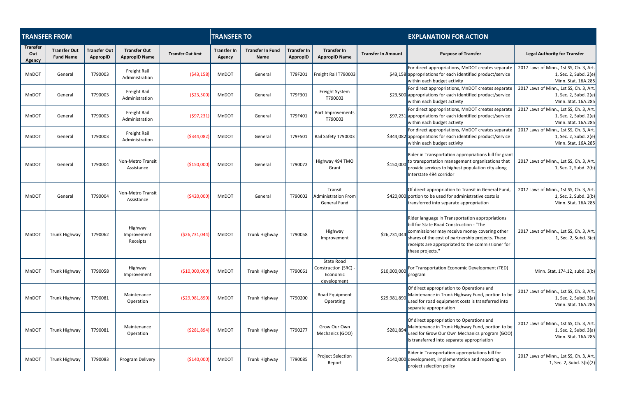|                                  | <b>TRANSFER FROM</b>                    |                                 |                                             |                         | <b>TRANSFER TO</b>           |                                        |                                       |                                                                      |                           | <b>EXPLANATION FOR ACTION</b>                                                                                                                                                                                                                                             |                                                                                         |  |  |
|----------------------------------|-----------------------------------------|---------------------------------|---------------------------------------------|-------------------------|------------------------------|----------------------------------------|---------------------------------------|----------------------------------------------------------------------|---------------------------|---------------------------------------------------------------------------------------------------------------------------------------------------------------------------------------------------------------------------------------------------------------------------|-----------------------------------------------------------------------------------------|--|--|
| <b>Transfer</b><br>Out<br>Agency | <b>Transfer Out</b><br><b>Fund Name</b> | <b>Transfer Out</b><br>AppropID | <b>Transfer Out</b><br><b>AppropID Name</b> | <b>Transfer Out Amt</b> | <b>Transfer In</b><br>Agency | <b>Transfer In Fund</b><br><b>Name</b> | <b>Transfer In</b><br><b>AppropID</b> | <b>Transfer In</b><br><b>AppropID Name</b>                           | <b>Transfer In Amount</b> | <b>Purpose of Transfer</b>                                                                                                                                                                                                                                                | <b>Legal Authority for Transfer</b>                                                     |  |  |
| MnDOT                            | General                                 | T790003                         | Freight Rail<br>Administration              | (543, 158)              | MnDOT                        | General                                | T79F201                               | Freight Rail T790003                                                 |                           | For direct appropriations, MnDOT creates separate<br>\$43,158 appropriations for each identified product/service<br>within each budget activity                                                                                                                           | 2017 Laws of Minn., 1st SS, Ch. 3, Art.<br>1, Sec. 2, Subd. 2(e)<br>Minn. Stat. 16A.285 |  |  |
| MnDOT                            | General                                 | T790003                         | Freight Rail<br>Administration              | ( \$23,500)             | MnDOT                        | General                                | T79F301                               | Freight System<br>T790003                                            |                           | For direct appropriations, MnDOT creates separate<br>\$23,500 appropriations for each identified product/service<br>within each budget activity                                                                                                                           | 2017 Laws of Minn., 1st SS, Ch. 3, Art.<br>1, Sec. 2, Subd. 2(e)<br>Minn. Stat. 16A.285 |  |  |
| MnDOT                            | General                                 | T790003                         | Freight Rail<br>Administration              | (597, 231)              | MnDOT                        | General                                | T79F401                               | Port Improvements<br>T790003                                         |                           | For direct appropriations, MnDOT creates separate<br>\$97,231 appropriations for each identified product/service<br>within each budget activity                                                                                                                           | 2017 Laws of Minn., 1st SS, Ch. 3, Art.<br>1, Sec. 2, Subd. 2(e)<br>Minn. Stat. 16A.285 |  |  |
| MnDOT                            | General                                 | T790003                         | Freight Rail<br>Administration              | ( \$344, 082)           | MnDOT                        | General                                | T79F501                               | Rail Safety T790003                                                  |                           | For direct appropriations, MnDOT creates separate<br>\$344,082 appropriations for each identified product/service<br>within each budget activity                                                                                                                          | 2017 Laws of Minn., 1st SS, Ch. 3, Art.<br>1, Sec. 2, Subd. 2(e)<br>Minn. Stat. 16A.285 |  |  |
| MnDOT                            | General                                 | T790004                         | Non-Metro Transit<br>Assistance             | (\$150,000)             | MnDOT                        | General                                | T790072                               | Highway 494 TMO<br>Grant                                             | \$150,000                 | Rider in Transportation appropriations bill for grant<br>to transportation management organizations that<br>provide services to highest population city along<br>Interstate 494 corridor                                                                                  | 2017 Laws of Minn., 1st SS, Ch. 3, Art.<br>1, Sec. 2, Subd. 2(b)                        |  |  |
| MnDOT                            | General                                 | T790004                         | <b>Non-Metro Transit</b><br>Assistance      | (\$420,000]             | MnDOT                        | General                                | T790002                               | Transit<br><b>Administration From</b><br>General Fund                |                           | Of direct appropriation to Transit in General Fund,<br>\$420,000 portion to be used for administrative costs is<br>transferred into separate appropriation                                                                                                                | 2017 Laws of Minn., 1st SS, Ch. 3, Art.<br>1, Sec. 2, Subd. 2(b)<br>Minn. Stat. 16A.285 |  |  |
| MnDOT                            | Trunk Highway                           | T790062                         | Highway<br>Improvement<br>Receipts          | (526, 731, 044)         | MnDOT                        | Trunk Highway                          | T790058                               | Highway<br>Improvement                                               | \$26,731,044              | Rider language in Transportation appropriations<br>bill for State Road Construction - "The<br>commissioner may receive money covering other<br>shares of the cost of partnership projects. These<br>receipts are appropriated to the commissioner for<br>these projects." | 2017 Laws of Minn., 1st SS, Ch. 3, Art.<br>1, Sec. 2, Subd. 3(c)                        |  |  |
| MnDOT                            | Trunk Highway                           | T790058                         | Highway<br>Improvement                      | ( \$10,000,000]         | MnDOT                        | Trunk Highway                          | T790061                               | <b>State Road</b><br>Construction (SRC) -<br>Economic<br>development | \$10,000,000              | For Transportation Economic Development (TED)<br>program                                                                                                                                                                                                                  | Minn. Stat. 174.12, subd. 2(b)                                                          |  |  |
| MnDOT                            | Trunk Highway                           | T790081                         | Maintenance<br>Operation                    | ( \$29,981,890)         | MnDOT                        | Trunk Highway                          | T790200                               | Road Equipment<br>Operating                                          | \$29,981,890              | Of direct appropriation to Operations and<br>Maintenance in Trunk Highway Fund, portion to be<br>used for road equipment costs is transferred into<br>separate appropriation                                                                                              | 2017 Laws of Minn., 1st SS, Ch. 3, Art.<br>1, Sec. 2, Subd. 3(a)<br>Minn. Stat. 16A.285 |  |  |
| MnDOT                            | Trunk Highway                           | T790081                         | Maintenance<br>Operation                    | ( \$281,894)            | MnDOT                        | Trunk Highway                          | T790277                               | Grow Our Own<br>Mechanics (GOO)                                      | \$281,894                 | Of direct appropriation to Operations and<br>Maintenance in Trunk Highway Fund, portion to be<br>used for Grow Our Own Mechanics program (GOO)<br>is transferred into separate appropriation                                                                              | 2017 Laws of Minn., 1st SS, Ch. 3, Art.<br>1, Sec. 2, Subd. 3(a)<br>Minn. Stat. 16A.285 |  |  |
| MnDOT                            | Trunk Highway                           | T790083                         | Program Delivery                            | ( \$140,000]            | MnDOT                        | Trunk Highway                          | T790085                               | <b>Project Selection</b><br>Report                                   |                           | Rider in Transportation appropriations bill for<br>\$140,000 development, implementation and reporting on<br>project selection policy                                                                                                                                     | 2017 Laws of Minn., 1st SS, Ch. 3, Art.<br>1, Sec. 2, Subd. 3(b)(2)                     |  |  |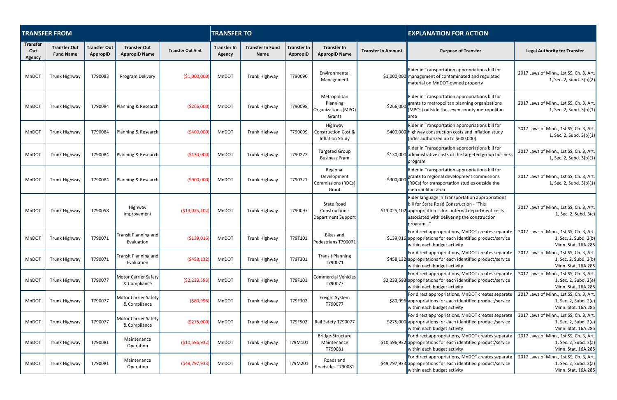|                                         | <b>TRANSFER FROM</b>                    |                                        |                                             |                         | <b>TRANSFER TO</b>           |                                        |                                       |                                                                  |                           | <b>EXPLANATION FOR ACTION</b>                                                                                                                                                                                         |                                                                                         |  |
|-----------------------------------------|-----------------------------------------|----------------------------------------|---------------------------------------------|-------------------------|------------------------------|----------------------------------------|---------------------------------------|------------------------------------------------------------------|---------------------------|-----------------------------------------------------------------------------------------------------------------------------------------------------------------------------------------------------------------------|-----------------------------------------------------------------------------------------|--|
| <b>Transfer</b><br>Out<br><b>Agency</b> | <b>Transfer Out</b><br><b>Fund Name</b> | <b>Transfer Out</b><br><b>AppropID</b> | <b>Transfer Out</b><br><b>AppropID Name</b> | <b>Transfer Out Amt</b> | <b>Transfer In</b><br>Agency | <b>Transfer In Fund</b><br><b>Name</b> | <b>Transfer In</b><br><b>AppropID</b> | <b>Transfer In</b><br><b>AppropID Name</b>                       | <b>Transfer In Amount</b> | <b>Purpose of Transfer</b>                                                                                                                                                                                            | <b>Legal Authority for Transfer</b>                                                     |  |
| MnDOT                                   | Trunk Highway                           | T790083                                | Program Delivery                            | (\$1,000,000            | MnDOT                        | Trunk Highway                          | T790090                               | Environmental<br>Management                                      |                           | Rider in Transportation appropriations bill for<br>\$1,000,000 management of contaminated and regulated<br>material on MnDOT-owned property                                                                           | 2017 Laws of Minn., 1st SS, Ch. 3, Art.<br>1, Sec. 2, Subd. 3(b)(2)                     |  |
| MnDOT                                   | Trunk Highway                           | T790084                                | Planning & Research                         | ( \$266,000             | MnDOT                        | Trunk Highway                          | T790098                               | Metropolitan<br>Planning<br>Organizations (MPO)<br>Grants        | \$266,000                 | Rider in Transportation appropriations bill for<br>grants to metropolitan planning organizations<br>(MPOs) outside the seven county metropolitan<br>area                                                              | 2017 Laws of Minn., 1st SS, Ch. 3, Art.<br>1, Sec. 2, Subd. $3(b)(1)$                   |  |
| <b>MnDOT</b>                            | Trunk Highway                           | T790084                                | Planning & Research                         | (\$400,000              | MnDOT                        | Trunk Highway                          | T790099                               | Highway<br><b>Construction Cost &amp;</b><br>Inflation Study     |                           | Rider in Transportation appropriations bill for<br>\$400,000 highway construction costs and inflation study<br>(rider authorized up to \$600,000)                                                                     | 2017 Laws of Minn., 1st SS, Ch. 3, Art.<br>1, Sec. 2, Subd. $3(b)(1)$                   |  |
| <b>MnDOT</b>                            | Trunk Highway                           | T790084                                | Planning & Research                         | ( \$130,000]            | MnDOT                        | Trunk Highway                          | T790272                               | <b>Targeted Group</b><br><b>Business Prgm</b>                    |                           | Rider in Transportation appropriations bill for<br>\$130,000 administrative costs of the targeted group business<br>program                                                                                           | 2017 Laws of Minn., 1st SS, Ch. 3, Art.<br>1, Sec. 2, Subd. $3(b)(1)$                   |  |
| MnDOT                                   | Trunk Highway                           | T790084                                | Planning & Research                         | (\$900,000              | MnDOT                        | Trunk Highway                          | T790321                               | Regional<br>Development<br><b>Commissions (RDCs)</b><br>Grant    | \$900,000                 | Rider in Transportation appropriations bill for<br>grants to regional development commissions<br>(RDCs) for transportation studies outside the<br>metropolitan area                                                   | 2017 Laws of Minn., 1st SS, Ch. 3, Art.<br>1, Sec. 2, Subd. $3(b)(1)$                   |  |
| MnDOT                                   | Trunk Highway                           | T790058                                | Highway<br>Improvement                      | ( \$13,025,102          | MnDOT                        | Trunk Highway                          | T790097                               | <b>State Road</b><br>Construction -<br><b>Department Support</b> |                           | Rider language in Transportation appropriations<br>bill for State Road Construction - "This<br>\$13,025,102 appropriation is for internal department costs<br>associated with delivering the construction<br>program" | 2017 Laws of Minn., 1st SS, Ch. 3, Art.<br>1, Sec. 2, Subd. 3(c)                        |  |
| <b>MnDOT</b>                            | Trunk Highway                           | T790071                                | <b>Transit Planning and</b><br>Evaluation   | ( \$139,016)            | MnDOT                        | Trunk Highway                          | T79T101                               | Bikes and<br>Pedestrians T790071                                 |                           | For direct appropriations, MnDOT creates separate<br>\$139,016 appropriations for each identified product/service<br>within each budget activity                                                                      | 2017 Laws of Minn., 1st SS, Ch. 3, Art.<br>1, Sec. 2, Subd. 2(b)<br>Minn. Stat. 16A.285 |  |
| MnDOT                                   | Trunk Highway                           | T790071                                | Transit Planning and<br>Evaluation          | (5458, 132)             | MnDOT                        | Trunk Highway                          | T79T301                               | <b>Transit Planning</b><br>T790071                               |                           | For direct appropriations, MnDOT creates separate<br>\$458,132 appropriations for each identified product/service<br>within each budget activity                                                                      | 2017 Laws of Minn., 1st SS, Ch. 3, Art.<br>1, Sec. 2, Subd. 2(b)<br>Minn. Stat. 16A.285 |  |
| MnDOT                                   | Trunk Highway                           | T790077                                | <b>Motor Carrier Safety</b><br>& Compliance | (52, 233, 593)          | MnDOT                        | Trunk Highway                          | T79F101                               | Commercial Vehicles<br>T790077                                   |                           | For direct appropriations, MnDOT creates separate<br>\$2,233,593 appropriations for each identified product/service<br>within each budget activity                                                                    | 2017 Laws of Minn., 1st SS, Ch. 3, Art.<br>1, Sec. 2, Subd. 2(e)<br>Minn. Stat. 16A.285 |  |
| MnDOT                                   | Trunk Highway                           | T790077                                | <b>Motor Carrier Safety</b><br>& Compliance | ( \$80, 996)            | MnDOT                        | <b>Trunk Highway</b>                   | T79F302                               | Freight System<br>T790077                                        |                           | For direct appropriations, MnDOT creates separate<br>\$80,996 appropriations for each identified product/service<br>within each budget activity                                                                       | 2017 Laws of Minn., 1st SS, Ch. 3, Art.<br>1, Sec. 2, Subd. 2(e)<br>Minn. Stat. 16A.285 |  |
| MnDOT                                   | Trunk Highway                           | T790077                                | <b>Motor Carrier Safety</b><br>& Compliance | (\$275,000              | MnDOT                        | Trunk Highway                          | T79F502                               | Rail Safety T790077                                              |                           | For direct appropriations, MnDOT creates separate<br>\$275,000 appropriations for each identified product/service<br>within each budget activity                                                                      | 2017 Laws of Minn., 1st SS, Ch. 3, Art.<br>1, Sec. 2, Subd. 2(e)<br>Minn. Stat. 16A.285 |  |
| MnDOT                                   | Trunk Highway                           | T790081                                | Maintenance<br>Operation                    | (\$10,596,932           | MnDOT                        | Trunk Highway                          | T79M101                               | Bridge-Structure<br>Maintenance<br>T790081                       |                           | For direct appropriations, MnDOT creates separate<br>\$10,596,932 appropriations for each identified product/service<br>within each budget activity                                                                   | 2017 Laws of Minn., 1st SS, Ch. 3, Art.<br>1, Sec. 2, Subd. 3(a)<br>Minn. Stat. 16A.285 |  |
| MnDOT                                   | Trunk Highway                           | T790081                                | Maintenance<br>Operation                    | (549, 797, 933)         | MnDOT                        | Trunk Highway                          | T79M201                               | Roads and<br>Roadsides T790081                                   |                           | For direct appropriations, MnDOT creates separate<br>\$49,797,933 appropriations for each identified product/service<br>within each budget activity                                                                   | 2017 Laws of Minn., 1st SS, Ch. 3, Art.<br>1, Sec. 2, Subd. 3(a)<br>Minn. Stat. 16A.285 |  |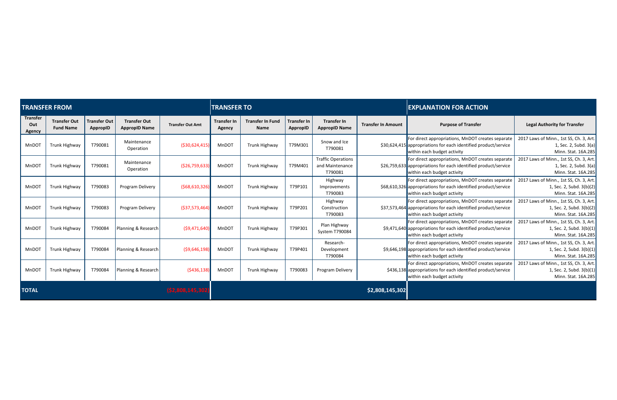|                                  | <b>TRANSFER FROM</b>                    |                                 |                                             |                         | <b>TRANSFER TO</b>           |                                        |                                |                                                         |                           | <b>EXPLANATION FOR ACTION</b>                                                                                                                       |                                                                                              |  |
|----------------------------------|-----------------------------------------|---------------------------------|---------------------------------------------|-------------------------|------------------------------|----------------------------------------|--------------------------------|---------------------------------------------------------|---------------------------|-----------------------------------------------------------------------------------------------------------------------------------------------------|----------------------------------------------------------------------------------------------|--|
| <b>Transfer</b><br>Out<br>Agency | <b>Transfer Out</b><br><b>Fund Name</b> | <b>Transfer Out</b><br>AppropID | <b>Transfer Out</b><br><b>AppropID Name</b> | <b>Transfer Out Amt</b> | <b>Transfer In</b><br>Agency | <b>Transfer In Fund</b><br><b>Name</b> | <b>Transfer In</b><br>AppropID | <b>Transfer In</b><br><b>AppropID Name</b>              | <b>Transfer In Amount</b> | <b>Purpose of Transfer</b>                                                                                                                          | <b>Legal Authority for Transfer</b>                                                          |  |
| MnDOT                            | Trunk Highway                           | T790081                         | Maintenance<br>Operation                    | ( \$30,624,415)         | MnDOT                        | Trunk Highway                          | T79M301                        | Snow and Ice<br>T790081                                 |                           | For direct appropriations, MnDOT creates separate<br>\$30,624,415 appropriations for each identified product/service<br>within each budget activity | 2017 Laws of Minn., 1st SS, Ch. 3, Art.<br>1, Sec. 2, Subd. 3(a)<br>Minn. Stat. 16A.285      |  |
| MnDOT                            | <b>Trunk Highway</b>                    | T790081                         | Maintenance<br>Operation                    | ( \$26,759,633          | MnDOT                        | Trunk Highway                          | T79M401                        | <b>Traffic Operations</b><br>and Maintenance<br>T790081 |                           | For direct appropriations, MnDOT creates separate<br>\$26,759,633 appropriations for each identified product/service<br>within each budget activity | 2017 Laws of Minn., 1st SS, Ch. 3, Art.<br>1, Sec. 2, Subd. 3(a)<br>Minn. Stat. 16A.285      |  |
| MnDOT                            | Trunk Highway                           | T790083                         | Program Delivery                            | (568, 610, 326)         | MnDOT                        | Trunk Highway                          | T79P101                        | Highway<br>Improvements<br>T790083                      |                           | For direct appropriations, MnDOT creates separate<br>\$68,610,326 appropriations for each identified product/service<br>within each budget activity | 2017 Laws of Minn., 1st SS, Ch. 3, Art.<br>1, Sec. 2, Subd. 3(b)(2)<br>Minn. Stat. 16A.285   |  |
| MnDOT                            | <b>Trunk Highway</b>                    | T790083                         | Program Delivery                            | ( \$37,573,464          | MnDOT                        | Trunk Highway                          | T79P201                        | Highway<br>Construction<br>T790083                      |                           | For direct appropriations, MnDOT creates separate<br>\$37,573,464 appropriations for each identified product/service<br>within each budget activity | 2017 Laws of Minn., 1st SS, Ch. 3, Art.<br>1, Sec. 2, Subd. 3(b)(2)<br>Minn. Stat. 16A.285   |  |
| MnDOT                            | <b>Trunk Highway</b>                    | T790084                         | Planning & Research                         | (59, 471, 640)          | <b>MnDOT</b>                 | Trunk Highway                          | T79P301                        | Plan Highway<br>System T790084                          |                           | For direct appropriations, MnDOT creates separate<br>\$9,471,640 appropriations for each identified product/service<br>within each budget activity  | 2017 Laws of Minn., 1st SS, Ch. 3, Art.<br>1, Sec. 2, Subd. 3(b)(1)<br>Minn. Stat. 16A.285   |  |
| MnDOT                            | Trunk Highway                           | T790084                         | Planning & Research                         | ( \$9,646,198)          | MnDOT                        | Trunk Highway                          | T79P401                        | Research-<br>Development<br>T790084                     |                           | For direct appropriations, MnDOT creates separate<br>\$9,646,198 appropriations for each identified product/service<br>within each budget activity  | 2017 Laws of Minn., 1st SS, Ch. 3, Art.<br>1, Sec. 2, Subd. 3(b)(1)<br>Minn. Stat. 16A.285   |  |
| MnDOT                            | Trunk Highway                           | T790084                         | Planning & Research                         | (5436, 138)             | <b>MnDOT</b>                 | Trunk Highway                          | T790083                        | Program Delivery                                        |                           | For direct appropriations, MnDOT creates separate<br>\$436,138 appropriations for each identified product/service<br>within each budget activity    | 2017 Laws of Minn., 1st SS, Ch. 3, Art.<br>1, Sec. 2, Subd. $3(b)(1)$<br>Minn. Stat. 16A.285 |  |
| <b>TOTAL</b>                     |                                         |                                 |                                             | (\$2,808,145,30)        |                              |                                        |                                |                                                         | \$2,808,145,302           |                                                                                                                                                     |                                                                                              |  |